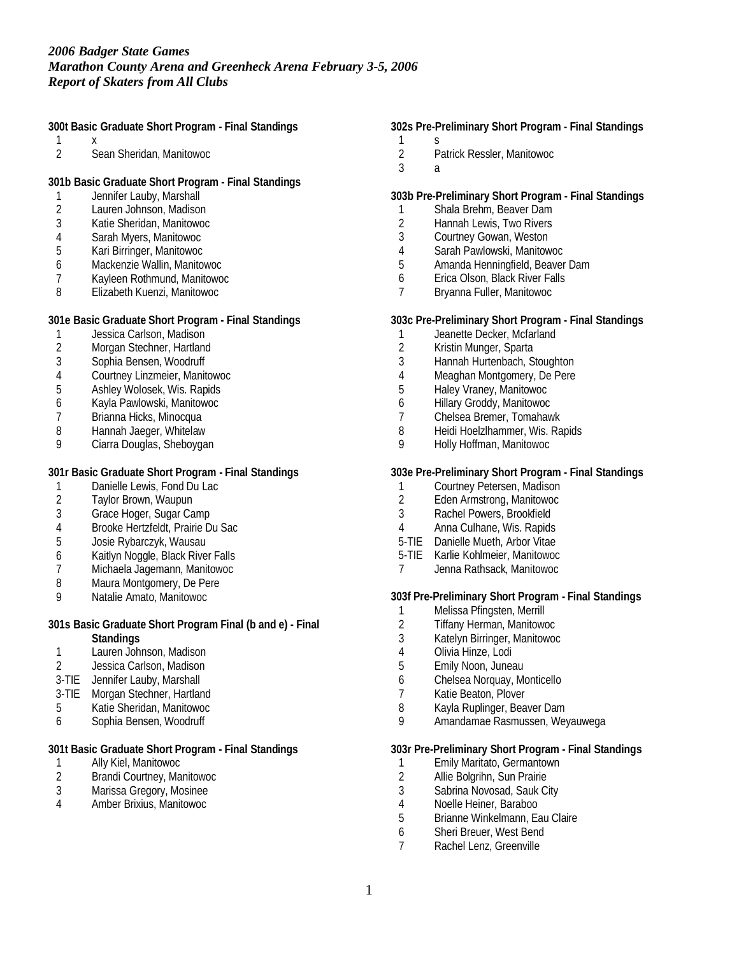**300t Basic Graduate Short Program - Final Standings**

- $\frac{1}{2}$
- Sean Sheridan, Manitowoc

**301b Basic Graduate Short Program - Final Standings**

- 1 Jennifer Lauby, Marshall<br>2 Lauren Johnson, Madisor
- Lauren Johnson, Madison
- 3 Katie Sheridan, Manitowoc
- 4 Sarah Myers, Manitowoc
- 5 Kari Birringer, Manitowoc
- 6 Mackenzie Wallin, Manitowoc
- 7 Kayleen Rothmund, Manitowoc<br>8 Elizabeth Kuenzi, Manitowoc
- 8 Elizabeth Kuenzi, Manitowoc

**301e Basic Graduate Short Program - Final Standings**

- 1 Jessica Carlson, Madison<br>2 Morgan Stechner, Hartland
- 2 Morgan Stechner, Hartland<br>3 Sophia Bensen, Woodruff
- 3 Sophia Bensen, Woodruff
- 4 Courtney Linzmeier, Manitowoc<br>5 Ashlev Wolosek, Wis. Rapids
- 5 Ashley Wolosek, Wis. Rapids
- 6 Kayla Pawlowski, Manitowoc
- 7 Brianna Hicks, Minocqua<br>8 Hannah Jaeger, Whitelaw
- 8 Hannah Jaeger, Whitelaw<br>9 Ciarra Douglas, Sheboyga
- Ciarra Douglas, Sheboygan

**301r Basic Graduate Short Program - Final Standings**

- 1 Danielle Lewis, Fond Du Lac<br>2 Taylor Brown. Waupun
- 2 Taylor Brown, Waupun
- 3 Grace Hoger, Sugar Camp
- 4 Brooke Hertzfeldt, Prairie Du Sac<br>5 Josie Rybarczyk, Wausau
- 5 Josie Rybarczyk, Wausau
- 6 Kaitlyn Noggle, Black River Falls
- 7 Michaela Jagemann, Manitowoc
- 8 Maura Montgomery, De Pere
- 9 Natalie Amato, Manitowoc

**301s Basic Graduate Short Program Final (b and e) - Final Standings**

- 1 Lauren Johnson, Madison
- 2 Jessica Carlson, Madison
- 3-TIE Jennifer Lauby, Marshall
- 3-TIE Morgan Stechner, Hartland
- 5 Katie Sheridan, Manitowoc
- 6 Sophia Bensen, Woodruff

**301t Basic Graduate Short Program - Final Standings**

- 1 Ally Kiel, Manitowoc<br>2 Brandi Courtney, Ma
- 2 Brandi Courtney, Manitowoc<br>3 Marissa Gregory, Mosinee
- 3 Marissa Gregory, Mosinee
- 4 Amber Brixius, Manitowoc

**302s Pre-Preliminary Short Program - Final Standings**

- $\frac{1}{2}$ 2 Patrick Ressler, Manitowoc
- 3 a

### **303b Pre-Preliminary Short Program - Final Standings**

- 1 Shala Brehm, Beaver Dam
- 2 Hannah Lewis, Two Rivers
- 3 Courtney Gowan, Weston
- 4 Sarah Pawlowski, Manitowoc
- 5 Amanda Henningfield, Beaver Dam
- 6 Erica Olson, Black River Falls<br>7 Brvanna Fuller, Manitowoc
- 7 Bryanna Fuller, Manitowoc

**303c Pre-Preliminary Short Program - Final Standings**

- 1 Jeanette Decker, Mcfarland
- 2 Kristin Munger, Sparta
- 3 Hannah Hurtenbach, Stoughton
- 4 Meaghan Montgomery, De Pere
- 5 Haley Vraney, Manitowoc
- 6 Hillary Groddy, Manitowoc
- 7 Chelsea Bremer, Tomahawk<br>8 Heidi Hoelzlhammer, Wis. Ra
- 8 Heidi Hoelzlhammer, Wis. Rapids<br>9 Holly Hoffman, Manitowoc
- 9 Holly Hoffman, Manitowoc

**303e Pre-Preliminary Short Program - Final Standings**

- 1 Courtney Petersen, Madison<br>2 Eden Armstrong, Manitowoc
- 2 Eden Armstrong, Manitowoc
- 3 Rachel Powers, Brookfield<br>4 Anna Culhane. Wis. Ranids
- 4 Anna Culhane, Wis. Rapids
- 5-TIE Danielle Mueth, Arbor Vitae
- 5-TIE Karlie Kohlmeier, Manitowoc
- 7 Jenna Rathsack, Manitowoc

**303f Pre-Preliminary Short Program - Final Standings**

- 1 Melissa Pfingsten, Merrill<br>2 Tiffany Herman, Manitowo
- 2 Tiffany Herman, Manitowoc
- 3 Katelyn Birringer, Manitowoc
- 4 Olivia Hinze, Lodi
- 5 Emily Noon, Juneau
- 6 Chelsea Norquay, Monticello
- 7 Katie Beaton, Plover
- 8 Kayla Ruplinger, Beaver Dam
- 9 Amandamae Rasmussen, Weyauwega

**303r Pre-Preliminary Short Program - Final Standings**

- 1 Emily Maritato, Germantown<br>2 Allie Bolgrihn, Sun Prairie
- 2 Allie Bolgrihn, Sun Prairie<br>3 Sabrina Novosad, Sauk Ci
- 3 Sabrina Novosad, Sauk City<br>4 Noelle Heiner, Baraboo
- 4 Noelle Heiner, Baraboo<br>5 Brianne Winkelmann, Ea
- 5 Brianne Winkelmann, Eau Claire
- 6 Sheri Breuer, West Bend<br>7 Rachel Lenz, Greenville
- Rachel Lenz, Greenville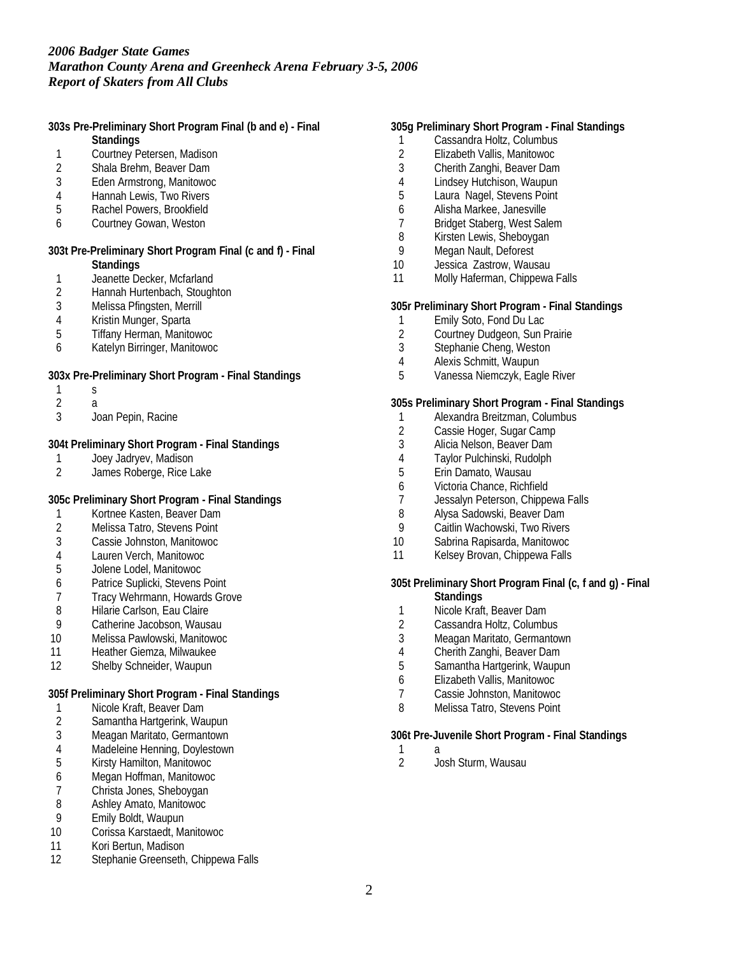**303s Pre-Preliminary Short Program Final (b and e) - Final**

- **Standings**
- 1 Courtney Petersen, Madison<br>2 Shala Brehm. Beaver Dam Shala Brehm, Beaver Dam
- 3 Eden Armstrong, Manitowoc
- 
- 4 Hannah Lewis, Two Rivers<br>5 Rachel Powers, Brookfield 5 Rachel Powers, Brookfield
- 6 Courtney Gowan, Weston
- 

**303t Pre-Preliminary Short Program Final (c and f) - Final Standings**

- 
- 1 Jeanette Decker, Mcfarland<br>2 Hannah Hurtenbach, Stough 2 Hannah Hurtenbach, Stoughton<br>3 Melissa Pfingsten, Merrill
- Melissa Pfingsten, Merrill
- 
- 4 Kristin Munger, Sparta<br>5 Tiffany Herman, Manito 5 Tiffany Herman, Manitowoc
- 6 Katelyn Birringer, Manitowoc

**303x Pre-Preliminary Short Program - Final Standings**

- 1 s
- $\frac{2}{3}$
- 3 Joan Pepin, Racine

**304t Preliminary Short Program - Final Standings**

- 1 Joey Jadryev, Madison<br>2 James Roberge, Rice La
- James Roberge, Rice Lake

### **305c Preliminary Short Program - Final Standings**

- 1 Kortnee Kasten, Beaver Dam<br>2 Melissa Tatro, Stevens Point
- 2 Melissa Tatro, Stevens Point<br>3 Cassie Johnston, Manitowoc
- 3 Cassie Johnston, Manitowoc
- 4 Lauren Verch, Manitowoc
- 5 Jolene Lodel, Manitowoc
- 6 Patrice Suplicki, Stevens Point
- 7 Tracy Wehrmann, Howards Grove<br>8 Hilarie Carlson, Eau Claire
- 8 Hilarie Carlson, Eau Claire<br>9 Catherine Jacobson. Waus
- Catherine Jacobson, Wausau
- 10 Melissa Pawlowski, Manitowoc
- 11 Heather Giemza, Milwaukee
- 12 Shelby Schneider, Waupun

**305f Preliminary Short Program - Final Standings**

- 1 Nicole Kraft, Beaver Dam<br>2 Samantha Hartgerink, Wa
- Samantha Hartgerink, Waupun
- 3 Meagan Maritato, Germantown
- 4 Madeleine Henning, Doylestown<br>5 Kirsty Hamilton, Manitowoc
- 5 Kirsty Hamilton, Manitowoc
- 6 Megan Hoffman, Manitowoc
- 7 Christa Jones, Sheboygan<br>8 Ashlev Amato, Manitowoc
- 8 Ashley Amato, Manitowoc<br>9 Emily Boldt, Waupun
- 9 Emily Boldt, Waupun
- 10 Corissa Karstaedt, Manitowoc
- 11 Kori Bertun, Madison
- 12 Stephanie Greenseth, Chippewa Falls

## **305g Preliminary Short Program - Final Standings**

- 1 Cassandra Holtz, Columbus
- 2 Elizabeth Vallis, Manitowoc<br>3 Cherith Zanghi, Beaver Dam
- 3 Cherith Zanghi, Beaver Dam
- 4 Lindsey Hutchison, Waupun
- 5 Laura Nagel, Stevens Point
- 6 Alisha Markee, Janesville
- 7 Bridget Staberg, West Salem
- 8 Kirsten Lewis, Sheboygan<br>9 Megan Nault, Deforest
- Megan Nault, Deforest
- 10 Jessica Zastrow, Wausau
- 11 Molly Haferman, Chippewa Falls

**305r Preliminary Short Program - Final Standings**

- 
- 1 Emily Soto, Fond Du Lac<br>2 Courtney Dudgeon, Sun F 2 Courtney Dudgeon, Sun Prairie
- 3 Stephanie Cheng, Weston
- 4 Alexis Schmitt, Waupun
- 5 Vanessa Niemczyk, Eagle River

**305s Preliminary Short Program - Final Standings**

- 1 Alexandra Breitzman, Columbus
- 2 Cassie Hoger, Sugar Camp<br>3 Alicia Nelson, Beaver Dam
- Alicia Nelson, Beaver Dam
- 4 Taylor Pulchinski, Rudolph<br>5 Erin Damato. Wausau
- Erin Damato, Wausau
- 6 Victoria Chance, Richfield<br>7 Jessalvn Peterson, Chippe
- Jessalyn Peterson, Chippewa Falls
- 8 Alysa Sadowski, Beaver Dam<br>9 Caitlin Wachowski, Two Rivers
- Caitlin Wachowski, Two Rivers
- 10 Sabrina Rapisarda, Manitowoc
- 11 Kelsey Brovan, Chippewa Falls

**305t Preliminary Short Program Final (c, f and g) - Final Standings**

- 1 Nicole Kraft, Beaver Dam
- 2 Cassandra Holtz, Columbus
- 3 Meagan Maritato, Germantown
- 4 Cherith Zanghi, Beaver Dam
- 5 Samantha Hartgerink, Waupun
- 6 Elizabeth Vallis, Manitowoc
- 7 Cassie Johnston, Manitowoc
- 8 Melissa Tatro, Stevens Point

**306t Pre-Juvenile Short Program - Final Standings**

- $\frac{1}{2}$
- 2 Josh Sturm, Wausau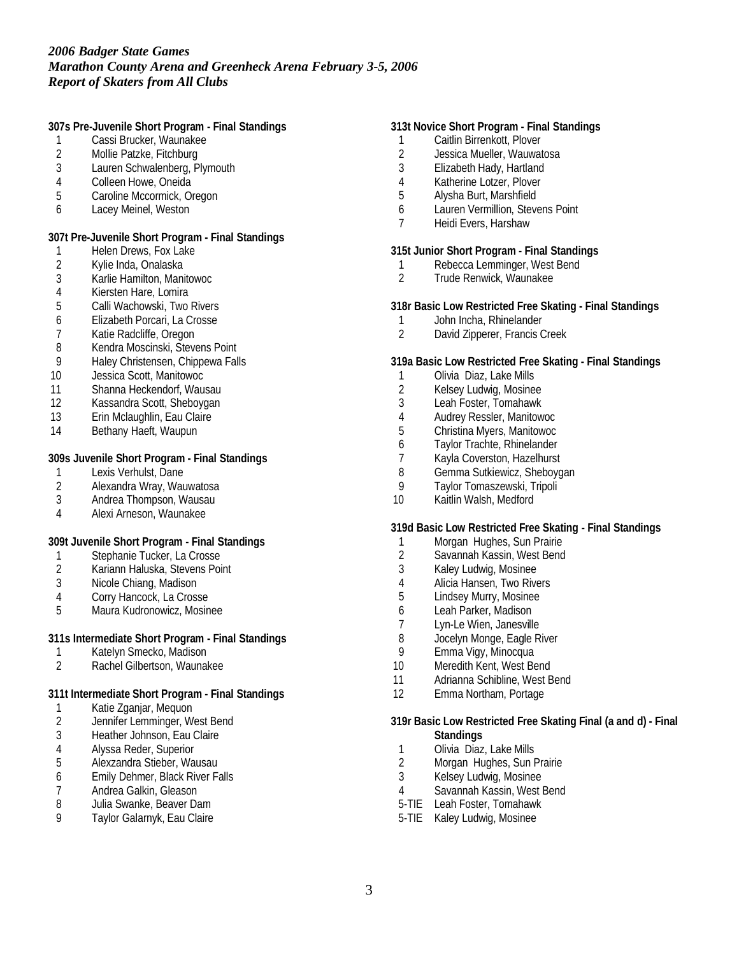**307s Pre-Juvenile Short Program - Final Standings**

- 1 Cassi Brucker, Waunakee<br>2 Mollie Patzke, Fitchburg
- 2 Mollie Patzke, Fitchburg<br>3 Lauren Schwalenberg, Pl
- Lauren Schwalenberg, Plymouth
- 4 Colleen Howe, Oneida<br>5 Caroline Mccormick, Or
- 5 Caroline Mccormick, Oregon
- 6 Lacey Meinel, Weston

**307t Pre-Juvenile Short Program - Final Standings**

- 1 Helen Drews, Fox Lake
- 2 Kylie Inda, Onalaska<br>3 Karlie Hamilton, Mani
- 3 Karlie Hamilton, Manitowoc
- 4 Kiersten Hare, Lomira<br>5 Calli Wachowski. Two
- 5 Calli Wachowski, Two Rivers
- 6 Elizabeth Porcari, La Crosse
- 
- 7 Katie Radcliffe, Oregon<br>8 Kendra Moscinski, Steve 8 Kendra Moscinski, Stevens Point
- 9 Haley Christensen, Chippewa Falls
- 10 Jessica Scott, Manitowoc
- 11 Shanna Heckendorf, Wausau
- 12 Kassandra Scott, Sheboygan
- 13 Erin Mclaughlin, Eau Claire
- 14 Bethany Haeft, Waupun

**309s Juvenile Short Program - Final Standings**

- 1 Lexis Verhulst, Dane<br>2 Alexandra Wray, Wau
- 2 Alexandra Wray, Wauwatosa
- 3 Andrea Thompson, Wausau
- 4 Alexi Arneson, Waunakee

**309t Juvenile Short Program - Final Standings**

- 1 Stephanie Tucker, La Crosse<br>2 Kariann Haluska, Stevens Poi
- Kariann Haluska, Stevens Point
- 3 Nicole Chiang, Madison
- 4 Corry Hancock, La Crosse<br>5 Maura Kudronowicz, Mosin
- 5 Maura Kudronowicz, Mosinee

### **311s Intermediate Short Program - Final Standings**

- 1 Katelyn Smecko, Madison<br>2 Rachel Gilbertson, Waunak
- 2 Rachel Gilbertson, Waunakee

**311t Intermediate Short Program - Final Standings**

- 1 Katie Zganjar, Mequon<br>2 Jennifer Lemminger, W
- Jennifer Lemminger, West Bend
- 3 Heather Johnson, Eau Claire<br>4 Alvssa Reder. Superior
- 4 Alyssa Reder, Superior<br>5 Alexzandra Stieber, Wa
- 5 Alexzandra Stieber, Wausau
- 6 Emily Dehmer, Black River Falls<br>7 Andrea Galkin, Gleason
- 7 Andrea Galkin, Gleason<br>8 Julia Swanke, Beaver Da
- Julia Swanke, Beaver Dam
- 9 Taylor Galarnyk, Eau Claire

### **313t Novice Short Program - Final Standings**

- 1 Caitlin Birrenkott, Plover
- 2 Jessica Mueller, Wauwatosa<br>3 Elizabeth Hady, Hartland
- 3 Elizabeth Hady, Hartland
- 4 Katherine Lotzer, Plover<br>5 Alvsha Burt, Marshfield
- 5 Alysha Burt, Marshfield
- 6 Lauren Vermillion, Stevens Point
- 7 Heidi Evers, Harshaw

### **315t Junior Short Program - Final Standings**

- 1 Rebecca Lemminger, West Bend<br>2 Trude Renwick, Waunakee
- 2 Trude Renwick, Waunakee

**318r Basic Low Restricted Free Skating - Final Standings**

- 1 John Incha, Rhinelander<br>2 David Zipperer, Francis C
- David Zipperer, Francis Creek

**319a Basic Low Restricted Free Skating - Final Standings**

- 1 Olivia Diaz, Lake Mills
- 2 Kelsey Ludwig, Mosinee
- 3 Leah Foster, Tomahawk
- 
- 4 Audrey Ressler, Manitowoc<br>5 Christina Myers, Manitowoc 5 Christina Myers, Manitowoc
- 6 Taylor Trachte, Rhinelander
- 
- 7 Kayla Coverston, Hazelhurst<br>8 Gemma Sutkiewicz, Shebovg 8 Gemma Sutkiewicz, Sheboygan<br>9 Taylor Tomaszewski, Tripoli
- Taylor Tomaszewski, Tripoli
- 10 Kaitlin Walsh, Medford

**319d Basic Low Restricted Free Skating - Final Standings**

- 1 Morgan Hughes, Sun Prairie
- 2 Savannah Kassin, West Bend
- 3 Kaley Ludwig, Mosinee
- 4 Alicia Hansen, Two Rivers
- 5 Lindsey Murry, Mosinee
- 6 Leah Parker, Madison
- Lyn-Le Wien, Janesville
- 8 Jocelyn Monge, Eagle River<br>9 Emma Vigy, Minocqua
- Emma Vigy, Minocqua
- 10 Meredith Kent, West Bend
- 11 Adrianna Schibline, West Bend
- 12 Emma Northam, Portage
- **319r Basic Low Restricted Free Skating Final (a and d) Final Standings**
- 1 Olivia Diaz, Lake Mills<br>2 Morgan Hughes, Sun F
- Morgan Hughes, Sun Prairie
- 3 Kelsey Ludwig, Mosinee
- 4 Savannah Kassin, West Bend
- 5-TIE Leah Foster, Tomahawk
- 5-TIE Kaley Ludwig, Mosinee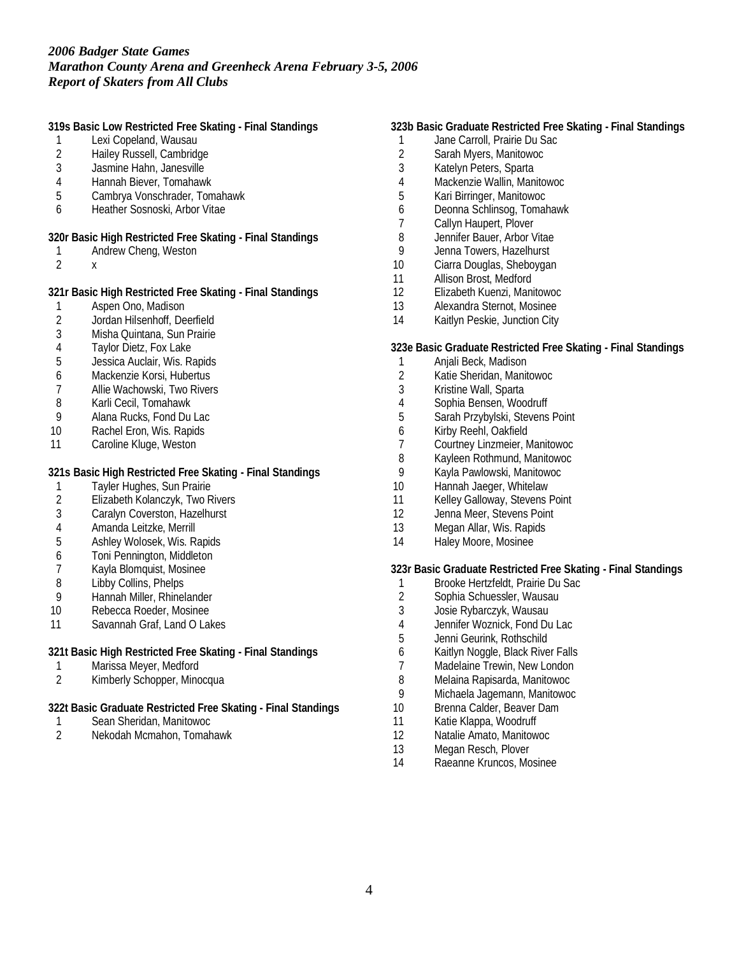**319s Basic Low Restricted Free Skating - Final Standings**

- 1 Lexi Copeland, Wausau
- 2 Hailey Russell, Cambridge<br>3 Jasmine Hahn, Janesville
- Jasmine Hahn, Janesville
- 4 Hannah Biever, Tomahawk
- 5 Cambrya Vonschrader, Tomahawk
- 6 Heather Sosnoski, Arbor Vitae
- **320r Basic High Restricted Free Skating Final Standings**
- 1 Andrew Cheng, Weston
- 2 x

**321r Basic High Restricted Free Skating - Final Standings**

- 1 Aspen Ono, Madison
- 2 Jordan Hilsenhoff, Deerfield<br>3 Misha Quintana, Sun Prairie
- Misha Quintana, Sun Prairie
- 4 Taylor Dietz, Fox Lake<br>5 Jessica Auclair, Wis. Ra
- 5 Jessica Auclair, Wis. Rapids
- 6 Mackenzie Korsi, Hubertus
- 7 Allie Wachowski, Two Rivers
- 8 Karli Cecil, Tomahawk<br>9 Alana Rucks, Fond Du
- 9 Alana Rucks, Fond Du Lac
- 10 Rachel Eron, Wis. Rapids
- 11 Caroline Kluge, Weston

**321s Basic High Restricted Free Skating - Final Standings**

- 1 Tayler Hughes, Sun Prairie<br>2 Elizabeth Kolanczyk, Two R
- 2 Elizabeth Kolanczyk, Two Rivers
- 3 Caralyn Coverston, Hazelhurst
- 4 Amanda Leitzke, Merrill<br>5 Ashlev Wolosek. Wis. R
- 5 Ashley Wolosek, Wis. Rapids
- 6 Toni Pennington, Middleton
- 7 Kayla Blomquist, Mosinee
- 8 Libby Collins, Phelps
- 9 Hannah Miller, Rhinelander
- 10 Rebecca Roeder, Mosinee
- 11 Savannah Graf, Land O Lakes

**321t Basic High Restricted Free Skating - Final Standings**

- 1 Marissa Meyer, Medford<br>2 Kimberly Schopper, Mino
- Kimberly Schopper, Minocqua
- **322t Basic Graduate Restricted Free Skating Final Standings**
- 1 Sean Sheridan, Manitowoc
- 2 Nekodah Mcmahon, Tomahawk

### **323b Basic Graduate Restricted Free Skating - Final Standings**

- 1 Jane Carroll, Prairie Du Sac
- 2 Sarah Myers, Manitowoc<br>3 Katelyn Peters, Sparta
- Katelyn Peters, Sparta
- 4 Mackenzie Wallin, Manitowoc<br>5 Kari Birringer, Manitowoc
- 5 Kari Birringer, Manitowoc
- 6 Deonna Schlinsog, Tomahawk
- 7 Callyn Haupert, Plover
- 8 Jennifer Bauer, Arbor Vitae<br>9 Jenna Towers, Hazelhurst
- Jenna Towers, Hazelhurst
- 10 Ciarra Douglas, Sheboygan
- 11 Allison Brost, Medford
- 12 Elizabeth Kuenzi, Manitowoc
- 13 Alexandra Sternot, Mosinee
- 14 Kaitlyn Peskie, Junction City

**323e Basic Graduate Restricted Free Skating - Final Standings**

- 1 Anjali Beck, Madison
- 2 Katie Sheridan, Manitowoc
- 3 Kristine Wall, Sparta
- 4 Sophia Bensen, Woodruff
- 5 Sarah Przybylski, Stevens Point
- 
- 6 Kirby Reehl, Oakfield<br>7 Courtney Linzmeier, N 7 Courtney Linzmeier, Manitowoc
- 8 Kayleen Rothmund, Manitowoc<br>9 Kavla Pawlowski, Manitowoc
- 9 Kayla Pawlowski, Manitowoc<br>10 Hannah Jaeger. Whitelaw
- Hannah Jaeger, Whitelaw
- 11 Kelley Galloway, Stevens Point
- 12 Jenna Meer, Stevens Point
- 13 Megan Allar, Wis. Rapids
- 14 Haley Moore, Mosinee

**323r Basic Graduate Restricted Free Skating - Final Standings**

- 1 Brooke Hertzfeldt, Prairie Du Sac
- 2 Sophia Schuessler, Wausau<br>3 Josie Rybarczyk, Wausau
- 3 Josie Rybarczyk, Wausau
- 4 Jennifer Woznick, Fond Du Lac
- 5 Jenni Geurink, Rothschild
- 6 Kaitlyn Noggle, Black River Falls
- 7 Madelaine Trewin, New London
- 8 Melaina Rapisarda, Manitowoc
- 9 Michaela Jagemann, Manitowoc
- 10 Brenna Calder, Beaver Dam
- 11 Katie Klappa, Woodruff
- 12 Natalie Amato, Manitowoc
- 13 Megan Resch, Plover<br>14 Raeanne Kruncos, Mo
- Raeanne Kruncos, Mosinee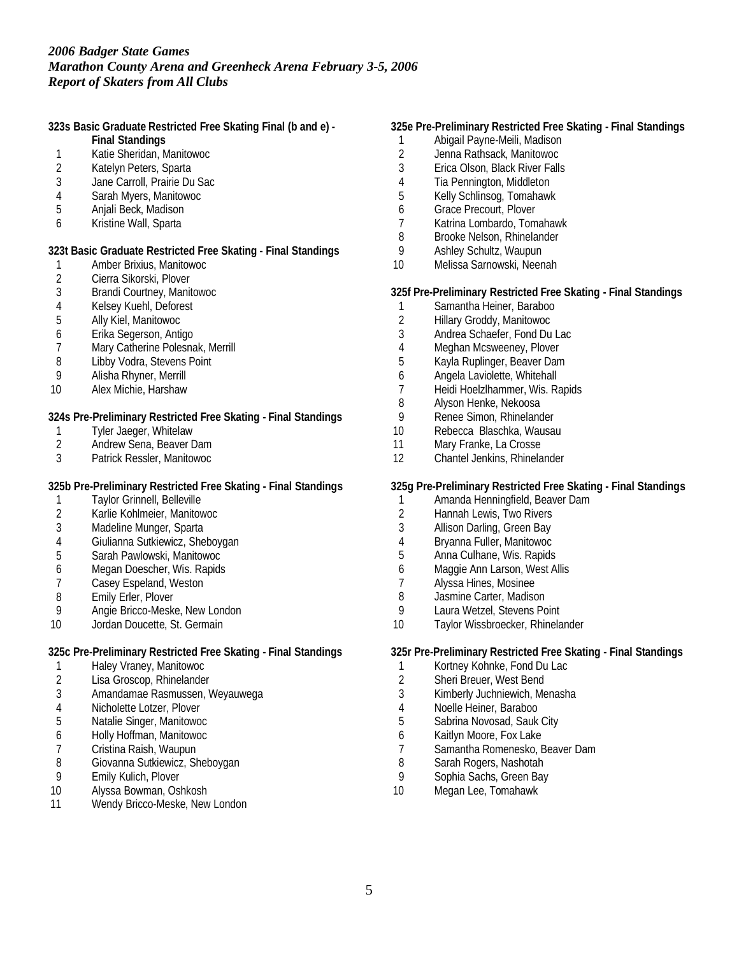**323s Basic Graduate Restricted Free Skating Final (b and e) -**

- **Final Standings**
- 1 Katie Sheridan, Manitowoc<br>2 Katelyn Peters, Sparta
- Katelyn Peters, Sparta
- 3 Jane Carroll, Prairie Du Sac
- 4 Sarah Myers, Manitowoc
- 5 Anjali Beck, Madison
- 6 Kristine Wall, Sparta

**323t Basic Graduate Restricted Free Skating - Final Standings**

- 1 Amber Brixius, Manitowoc<br>2 Cierra Sikorski, Plover
- 2 Cierra Sikorski, Plover<br>3 Brandi Courtney, Manit
- 3 Brandi Courtney, Manitowoc
- 4 Kelsey Kuehl, Deforest
- 5 Ally Kiel, Manitowoc
- 6 Erika Segerson, Antigo
- 7 Mary Catherine Polesnak, Merrill<br>8 Libby Vodra, Stevens Point
- Libby Vodra, Stevens Point
- 9 Alisha Rhyner, Merrill
- 10 Alex Michie, Harshaw

**324s Pre-Preliminary Restricted Free Skating - Final Standings**

- 1 Tyler Jaeger, Whitelaw<br>2 Andrew Sena, Beaver D
- Andrew Sena, Beaver Dam
- 3 Patrick Ressler, Manitowoc

**325b Pre-Preliminary Restricted Free Skating - Final Standings**

- 1 Taylor Grinnell, Belleville
- 2 Karlie Kohlmeier, Manitowoc<br>3 Madeline Munger, Sparta
- Madeline Munger, Sparta
- 4 Giulianna Sutkiewicz, Sheboygan
- 5 Sarah Pawlowski, Manitowoc
- 6 Megan Doescher, Wis. Rapids
- 7 Casey Espeland, Weston
- 8 Emily Erler, Plover<br>9 Angie Bricco-Meske
- Angie Bricco-Meske, New London
- 10 Jordan Doucette, St. Germain

**325c Pre-Preliminary Restricted Free Skating - Final Standings**

- 1 Haley Vraney, Manitowoc<br>2 Lisa Groscop, Rhinelander
- Lisa Groscop, Rhinelander
- 3 Amandamae Rasmussen, Weyauwega
- 4 Nicholette Lotzer, Plover
- 5 Natalie Singer, Manitowoc
- 6 Holly Hoffman, Manitowoc
- 7 Cristina Raish, Waupun<br>8 Giovanna Sutkiewicz, Sh
- Giovanna Sutkiewicz, Sheboygan
- 9 Emily Kulich, Plover<br>10 Alyssa Bowman, Osl
- Alyssa Bowman, Oshkosh
- 11 Wendy Bricco-Meske, New London

### **325e Pre-Preliminary Restricted Free Skating - Final Standings**

- 1 Abigail Payne-Meili, Madison
- 2 Jenna Rathsack, Manitowoc<br>3 Erica Olson, Black River Falls
- Erica Olson, Black River Falls
- 4 Tia Pennington, Middleton<br>5 Kelly Schlinsog, Tomahawk
- 5 Kelly Schlinsog, Tomahawk
- 6 Grace Precourt, Plover
- 7 Katrina Lombardo, Tomahawk
- 8 Brooke Nelson, Rhinelander<br>9 Ashley Schultz, Waupun
- 9 Ashley Schultz, Waupun
- 10 Melissa Sarnowski, Neenah

**325f Pre-Preliminary Restricted Free Skating - Final Standings**

- 1 Samantha Heiner, Baraboo
- 2 Hillary Groddy, Manitowoc
- Andrea Schaefer, Fond Du Lac
- 4 Meghan Mcsweeney, Plover<br>5 Kayla Ruplinger, Beaver Dan
- 5 Kayla Ruplinger, Beaver Dam
- 6 Angela Laviolette, Whitehall
- 7 Heidi Hoelzlhammer, Wis. Rapids
- 8 Alyson Henke, Nekoosa
- 9 Renee Simon, Rhinelander<br>10 Rebecca Blaschka, Wausa
- 10 Rebecca Blaschka, Wausau<br>11 Mary Franke, La Crosse
- Mary Franke, La Crosse
- 12 Chantel Jenkins, Rhinelander

**325g Pre-Preliminary Restricted Free Skating - Final Standings**

- 1 Amanda Henningfield, Beaver Dam
- 2 Hannah Lewis, Two Rivers<br>3 Allison Darling, Green Bay
- Allison Darling, Green Bay
- 4 Bryanna Fuller, Manitowoc
- 5 Anna Culhane, Wis. Rapids
- 6 Maggie Ann Larson, West Allis
- 7 Alyssa Hines, Mosinee
- 8 Jasmine Carter, Madison<br>9 I aura Wetzel, Stevens Po
- Laura Wetzel, Stevens Point
- 10 Taylor Wissbroecker, Rhinelander

**325r Pre-Preliminary Restricted Free Skating - Final Standings**

- 1 Kortney Kohnke, Fond Du Lac
- 2 Sheri Breuer, West Bend
- 3 Kimberly Juchniewich, Menasha
- 4 Noelle Heiner, Baraboo
- 5 Sabrina Novosad, Sauk City
- 6 Kaitlyn Moore, Fox Lake
- 7 Samantha Romenesko, Beaver Dam<br>8 Sarah Rogers, Nashotah
- Sarah Rogers, Nashotah
- 9 Sophia Sachs, Green Bay
- 10 Megan Lee, Tomahawk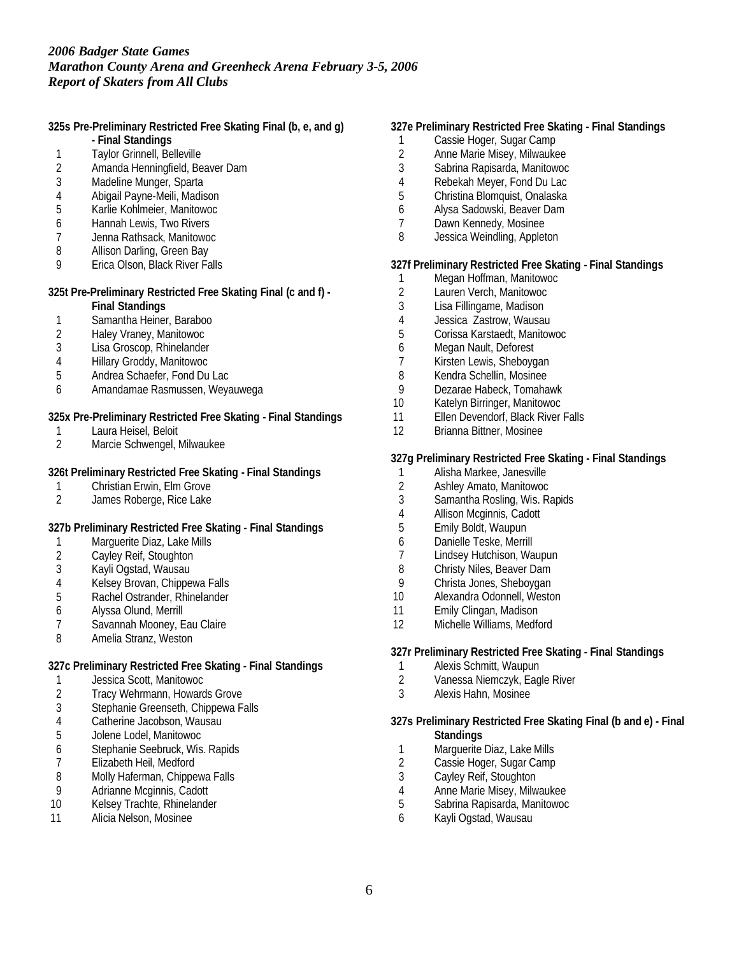**325s Pre-Preliminary Restricted Free Skating Final (b, e, and g)**

- **Final Standings**
- 1 Taylor Grinnell, Belleville<br>2 Amanda Henningfield, Be
- 2 Amanda Henningfield, Beaver Dam<br>3 Madeline Munger. Sparta
- Madeline Munger, Sparta
- 4 Abigail Payne-Meili, Madison<br>5 Karlie Kohlmeier, Manitowoc
- 5 Karlie Kohlmeier, Manitowoc
- 6 Hannah Lewis, Two Rivers
- 7 Jenna Rathsack, Manitowoc
- 8 Allison Darling, Green Bay
- 9 Erica Olson, Black River Falls

**325t Pre-Preliminary Restricted Free Skating Final (c and f) -**

- **Final Standings**
- 1 Samantha Heiner, Baraboo<br>2 Halev Vranev, Manitowoc
- 2 Haley Vraney, Manitowoc
- 3 Lisa Groscop, Rhinelander
- 4 Hillary Groddy, Manitowoc
- 5 Andrea Schaefer, Fond Du Lac
- 6 Amandamae Rasmussen, Weyauwega

**325x Pre-Preliminary Restricted Free Skating - Final Standings**

- 1 Laura Heisel, Beloit<br>2 Marcie Schwengel.
- 2 Marcie Schwengel, Milwaukee

**326t Preliminary Restricted Free Skating - Final Standings**

- 1 Christian Erwin, Elm Grove<br>2 James Roberge, Rice Lake
- James Roberge, Rice Lake

**327b Preliminary Restricted Free Skating - Final Standings**

- 1 Marguerite Diaz, Lake Mills
- 2 Cayley Reif, Stoughton
- 3 Kayli Ogstad, Wausau
- 4 Kelsey Brovan, Chippewa Falls
- 5 Rachel Ostrander, Rhinelander
- 6 Alyssa Olund, Merrill
- Savannah Mooney, Eau Claire
- 8 Amelia Stranz, Weston

**327c Preliminary Restricted Free Skating - Final Standings**

- 1 Jessica Scott, Manitowoc<br>2 Tracy Wehrmann. Howard
- Tracy Wehrmann, Howards Grove
- 3 Stephanie Greenseth, Chippewa Falls
- 4 Catherine Jacobson, Wausau
- 5 Jolene Lodel, Manitowoc
- 6 Stephanie Seebruck, Wis. Rapids
- 7 Elizabeth Heil, Medford<br>8 Molly Haferman, Chipper
- 8 Molly Haferman, Chippewa Falls<br>9 Adrianne Mcginnis, Cadott
- 9 Adrianne Mcginnis, Cadott<br>10 Kelsev Trachte, Rhinelande
- Kelsey Trachte, Rhinelander
- 11 Alicia Nelson, Mosinee

### **327e Preliminary Restricted Free Skating - Final Standings**

- 1 Cassie Hoger, Sugar Camp
- 2 Anne Marie Misey, Milwaukee<br>3 Sabrina Rapisarda, Manitowoc
- 3 Sabrina Rapisarda, Manitowoc
- 4 Rebekah Meyer, Fond Du Lac
- 5 Christina Blomquist, Onalaska
- 6 Alysa Sadowski, Beaver Dam
- 7 Dawn Kennedy, Mosinee
- 8 Jessica Weindling, Appleton

**327f Preliminary Restricted Free Skating - Final Standings**

- 1 Megan Hoffman, Manitowoc<br>2 Lauren Verch, Manitowoc
- 2 Lauren Verch, Manitowoc<br>3 Lisa Fillingame, Madison
- Lisa Fillingame, Madison
- 4 Jessica Zastrow, Wausau
- 5 Corissa Karstaedt, Manitowoc
- 6 Megan Nault, Deforest
- 7 Kirsten Lewis, Sheboygan
- 8 Kendra Schellin, Mosinee
- 9 Dezarae Habeck, Tomahawk
- 10 Katelyn Birringer, Manitowoc
- 11 Ellen Devendorf, Black River Falls
- 12 Brianna Bittner, Mosinee

### **327g Preliminary Restricted Free Skating - Final Standings**

- 1 Alisha Markee, Janesville<br>2 Ashley Amato, Manitowoc
- 2 Ashley Amato, Manitowoc<br>3 Samantha Rosling, Wis. Ra
- Samantha Rosling, Wis. Rapids
- 4 Allison Mcginnis, Cadott<br>5 Emily Boldt, Waupun
- 5 Emily Boldt, Waupun
- 6 Danielle Teske, Merrill
- 7 Lindsey Hutchison, Waupun
- 8 Christy Niles, Beaver Dam
- 9 Christa Jones, Sheboygan
- 10 Alexandra Odonnell, Weston
- 11 Emily Clingan, Madison
- 12 Michelle Williams, Medford

**327r Preliminary Restricted Free Skating - Final Standings**

- 1 Alexis Schmitt, Waupun
- 2 Vanessa Niemczyk, Eagle River
- 3 Alexis Hahn, Mosinee
- **327s Preliminary Restricted Free Skating Final (b and e) Final Standings**
- 1 Marguerite Diaz, Lake Mills<br>2 Cassie Hoger, Sugar Camp
- Cassie Hoger, Sugar Camp
- 3 Cayley Reif, Stoughton<br>4 Anne Marie Misey, Milw
- 4 Anne Marie Misey, Milwaukee<br>5 Sabrina Rapisarda, Manitowoc
- 5 Sabrina Rapisarda, Manitowoc
- 6 Kayli Ogstad, Wausau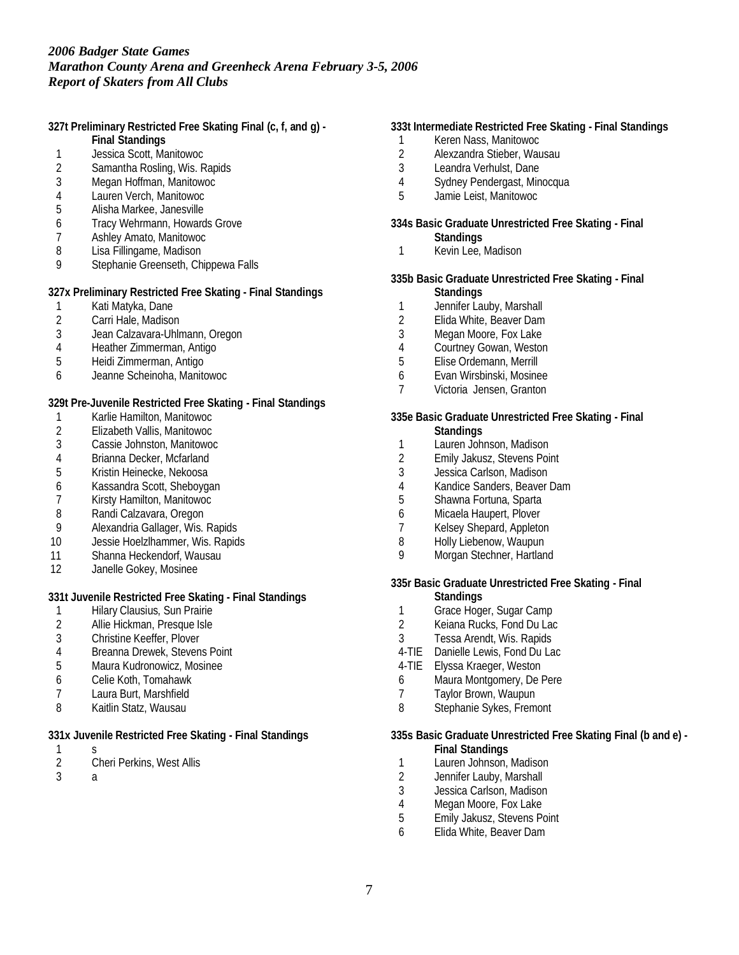**327t Preliminary Restricted Free Skating Final (c, f, and g) - Final Standings**

- 
- 1 Jessica Scott, Manitowoc<br>2 Samantha Rosling, Wis, R Samantha Rosling, Wis. Rapids
- 3 Megan Hoffman, Manitowoc
- 
- 4 Lauren Verch, Manitowoc 5 Alisha Markee, Janesville
- 6 Tracy Wehrmann, Howards Grove
- 7 Ashley Amato, Manitowoc
- 8 Lisa Fillingame, Madison
- 9 Stephanie Greenseth, Chippewa Falls

**327x Preliminary Restricted Free Skating - Final Standings**

- 1 Kati Matyka, Dane
- 2 Carri Hale, Madison<br>3 Jean Calzavara-Uhlr
- 3 Jean Calzavara-Uhlmann, Oregon
- 4 Heather Zimmerman, Antigo<br>5 Heidi Zimmerman, Antigo
- 5 Heidi Zimmerman, Antigo
- 6 Jeanne Scheinoha, Manitowoc

**329t Pre-Juvenile Restricted Free Skating - Final Standings**

- 1 Karlie Hamilton, Manitowoc<br>2 Elizabeth Vallis, Manitowoc
- 2 Elizabeth Vallis, Manitowoc
- 3 Cassie Johnston, Manitowoc
- 4 Brianna Decker, Mcfarland<br>5 Kristin Heinecke, Nekoosa
- 5 Kristin Heinecke, Nekoosa
- 6 Kassandra Scott, Sheboygan
- Kirsty Hamilton, Manitowoc
- 8 Randi Calzavara, Oregon<br>9 Alexandria Gallager, Wis.
- Alexandria Gallager, Wis. Rapids
- 10 Jessie Hoelzlhammer, Wis. Rapids
- 11 Shanna Heckendorf, Wausau
- 12 Janelle Gokey, Mosinee

# **331t Juvenile Restricted Free Skating - Final Standings**

- 1 Hilary Clausius, Sun Prairie<br>2 Allie Hickman, Presque Isle
- 2 Allie Hickman, Presque Isle
- 3 Christine Keeffer, Plover
- 4 Breanna Drewek, Stevens Point<br>5 Maura Kudronowicz, Mosinee
- 5 Maura Kudronowicz, Mosinee
- 6 Celie Koth, Tomahawk
- 7 Laura Burt, Marshfield
- 8 Kaitlin Statz, Wausau

**331x Juvenile Restricted Free Skating - Final Standings**

- $\frac{1}{2}$
- 2 Cheri Perkins, West Allis
- 3 a

### **333t Intermediate Restricted Free Skating - Final Standings**

- 1 Keren Nass, Manitowoc<br>2 Alexzandra Stieber, Wau
- 2 Alexzandra Stieber, Wausau<br>3 Leandra Verhulst, Dane
- Leandra Verhulst, Dane
- 4 Sydney Pendergast, Minocqua
- 5 Jamie Leist, Manitowoc
- **334s Basic Graduate Unrestricted Free Skating Final**
	- **Standings**
- 1 Kevin Lee, Madison

#### **335b Basic Graduate Unrestricted Free Skating - Final Standings**

- 1 Jennifer Lauby, Marshall
- 
- 2 Elida White, Beaver Dam<br>3 Megan Moore, Fox Lake Megan Moore, Fox Lake
- 
- 4 Courtney Gowan, Weston<br>5 Elise Ordemann, Merrill 5 Elise Ordemann, Merrill
- 6 Evan Wirsbinski, Mosinee
- 7 Victoria Jensen, Granton

# **335e Basic Graduate Unrestricted Free Skating - Final**

- **Standings**
- 1 Lauren Johnson, Madison
- 2 Emily Jakusz, Stevens Point<br>3 Jessica Carlson, Madison
- Jessica Carlson, Madison
- 4 Kandice Sanders, Beaver Dam<br>5 Shawna Fortuna, Sparta
- 5 Shawna Fortuna, Sparta
- 6 Micaela Haupert, Plover
- Kelsey Shepard, Appleton
- 8 Holly Liebenow, Waupun
- 9 Morgan Stechner, Hartland

**335r Basic Graduate Unrestricted Free Skating - Final**

- **Standings**
- 1 Grace Hoger, Sugar Camp<br>2 Kejana Rucks. Fond Du Lac
- Keiana Rucks, Fond Du Lac
- 3 Tessa Arendt, Wis. Rapids
- 4-TIE Danielle Lewis, Fond Du Lac
- 4-TIE Elyssa Kraeger, Weston
- 6 Maura Montgomery, De Pere
- 7 Taylor Brown, Waupun
- 8 Stephanie Sykes, Fremont

**335s Basic Graduate Unrestricted Free Skating Final (b and e) -**

- **Final Standings**
- 1 Lauren Johnson, Madison
- 2 Jennifer Lauby, Marshall<br>3 Jessica Carlson, Madison
- Jessica Carlson, Madison
- 4 Megan Moore, Fox Lake<br>5 Emily Jakusz, Stevens Po
- 5 Emily Jakusz, Stevens Point
- 6 Elida White, Beaver Dam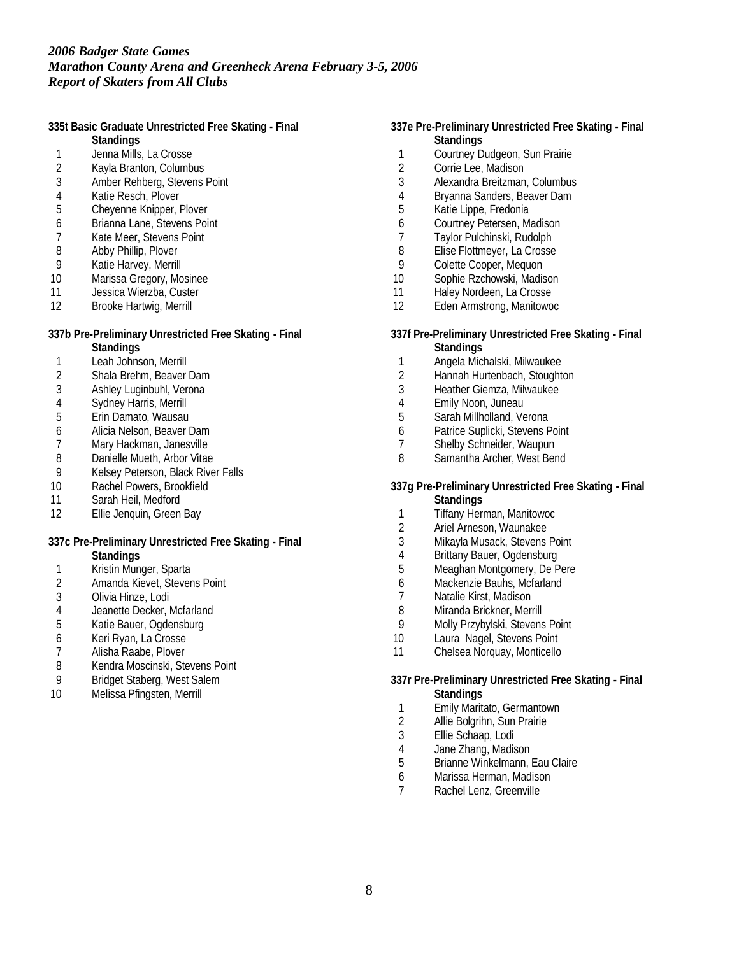**335t Basic Graduate Unrestricted Free Skating - Final**

- **Standings**
- 1 Jenna Mills, La Crosse<br>2 Kavla Branton, Columbi 2 Kayla Branton, Columbus
- 3 Amber Rehberg, Stevens Point
- 
- 4 Katie Resch, Plover<br>5 Chevenne Knipper, R 5 Cheyenne Knipper, Plover
- 6 Brianna Lane, Stevens Point
- 7 Kate Meer, Stevens Point
- 8 Abby Phillip, Plover
- 
- 9 Katie Harvey, Merrill<br>10 Marissa Gregory, Mo Marissa Gregory, Mosinee
- 11 Jessica Wierzba, Custer
- 12 Brooke Hartwig, Merrill

# **337b Pre-Preliminary Unrestricted Free Skating - Final**

- **Standings**
- 1 Leah Johnson, Merrill<br>2 Shala Brehm, Beaver
- 2 Shala Brehm, Beaver Dam
- 3 Ashley Luginbuhl, Verona
- 4 Sydney Harris, Merrill<br>5 Erin Damato, Wausau
- Erin Damato, Wausau
- 6 Alicia Nelson, Beaver Dam
- Mary Hackman, Janesville
- 8 Danielle Mueth, Arbor Vitae<br>9 Kelsev Peterson, Black Rive
- 9 Kelsey Peterson, Black River Falls<br>10 Rachel Powers, Brookfield
- Rachel Powers, Brookfield
- 11 Sarah Heil, Medford
- 12 Ellie Jenquin, Green Bay
- **337c Pre-Preliminary Unrestricted Free Skating Final**
	- **Standings**
- 1 Kristin Munger, Sparta<br>2 Amanda Kievet, Stever
- 2 Amanda Kievet, Stevens Point
- 3 Olivia Hinze, Lodi
- 4 Jeanette Decker, Mcfarland<br>5 Katie Bauer. Ogdensburg
- 5 Katie Bauer, Ogdensburg
- 6 Keri Ryan, La Crosse
- 7 Alisha Raabe, Plover<br>8 Kendra Moscinski, Ste
- 8 Kendra Moscinski, Stevens Point
- 9 Bridget Staberg, West Salem
- 10 Melissa Pfingsten, Merrill
- **337e Pre-Preliminary Unrestricted Free Skating Final Standings**
	- 1 Courtney Dudgeon, Sun Prairie<br>2 Corrie Lee. Madison
	- Corrie Lee, Madison
	- 3 Alexandra Breitzman, Columbus
	- 4 Bryanna Sanders, Beaver Dam<br>5 Katie Lippe, Fredonia
	- Katie Lippe, Fredonia
	- 6 Courtney Petersen, Madison
	- 7 Taylor Pulchinski, Rudolph
- 8 Elise Flottmeyer, La Crosse
- 9 Colette Cooper, Mequon<br>10 Sophie Rzchowski, Madis
- Sophie Rzchowski, Madison
- 11 Haley Nordeen, La Crosse
- 12 Eden Armstrong, Manitowoc
- **337f Pre-Preliminary Unrestricted Free Skating Final Standings**
- 1 Angela Michalski, Milwaukee
- 2 Hannah Hurtenbach, Stoughton
- 3 Heather Giemza, Milwaukee
- 
- 4 Emily Noon, Juneau
- 5 Sarah Millholland, Verona
- 6 Patrice Suplicki, Stevens Point<br>7 Shelby Schneider, Waupun
- Shelby Schneider, Waupun
- 8 Samantha Archer, West Bend
- **337g Pre-Preliminary Unrestricted Free Skating Final Standings**
- 1 Tiffany Herman, Manitowoc<br>2 Ariel Arneson. Waunakee
- 2 Ariel Arneson, Waunakee<br>3 Mikayla Musack, Stevens
- Mikayla Musack, Stevens Point
- 4 Brittany Bauer, Ogdensburg<br>5 Meaghan Montgomery, De P
- Meaghan Montgomery, De Pere
- 6 Mackenzie Bauhs, Mcfarland
- 7 Natalie Kirst, Madison<br>8 Miranda Brickner, Mer
- Miranda Brickner, Merrill
- 9 Molly Przybylski, Stevens Point
- 10 Laura Nagel, Stevens Point
- 11 Chelsea Norquay, Monticello
- **337r Pre-Preliminary Unrestricted Free Skating Final Standings**
- 1 Emily Maritato, Germantown
- 2 Allie Bolgrihn, Sun Prairie
- 3 Ellie Schaap, Lodi
- 4 Jane Zhang, Madison<br>5 Brianne Winkelmann.
- 5 Brianne Winkelmann, Eau Claire
- 6 Marissa Herman, Madison
- 7 Rachel Lenz, Greenville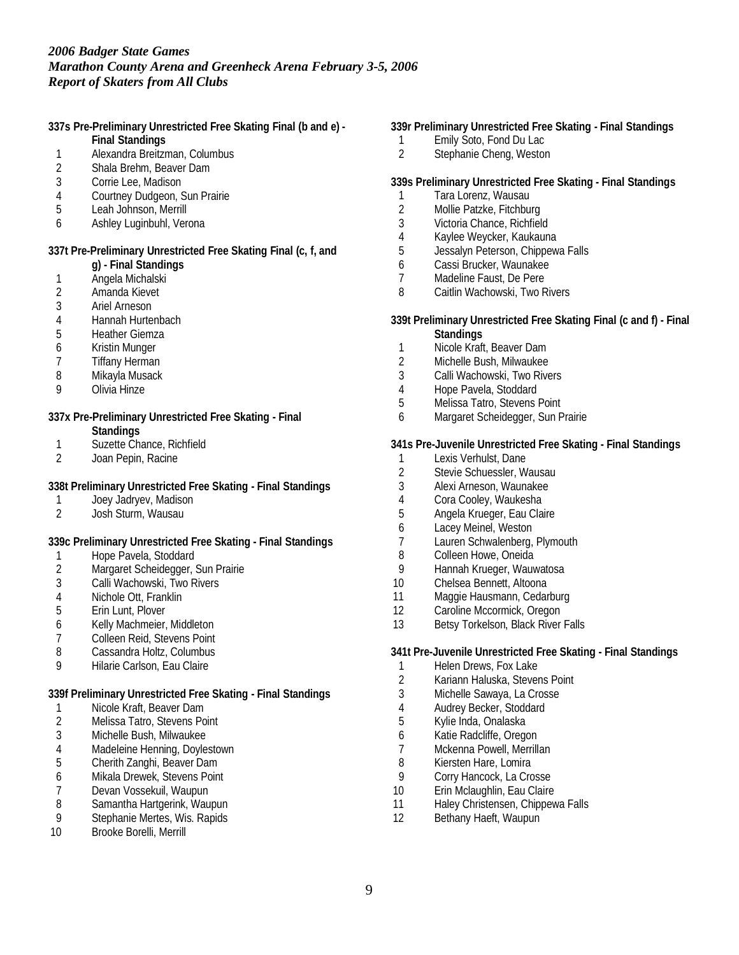**337s Pre-Preliminary Unrestricted Free Skating Final (b and e) -**

- **Final Standings**
- 1 Alexandra Breitzman, Columbus<br>2 Shala Brehm. Beaver Dam
- 2 Shala Brehm, Beaver Dam
- 3 Corrie Lee, Madison
- 4 Courtney Dudgeon, Sun Prairie<br>5 Leah Johnson. Merrill
- Leah Johnson, Merrill
- 6 Ashley Luginbuhl, Verona

**337t Pre-Preliminary Unrestricted Free Skating Final (c, f, and**

- **g) Final Standings**
- 1 Angela Michalski<br>2 Amanda Kievet
- 2 Amanda Kievet<br>3 Ariel Arneson
- Ariel Arneson
- 4 Hannah Hurtenbach<br>5 Heather Giemza
- **Heather Giemza**
- 6 Kristin Munger<br>7 Tiffany Herman
- 7 Tiffany Herman
- 8 Mikayla Musack
- 9 Olivia Hinze
- **337x Pre-Preliminary Unrestricted Free Skating Final Standings**
- 1 Suzette Chance, Richfield
- 2 Joan Pepin, Racine

**338t Preliminary Unrestricted Free Skating - Final Standings**

- 1 Joey Jadryev, Madison
- 2 Josh Sturm, Wausau

**339c Preliminary Unrestricted Free Skating - Final Standings**

- 1 Hope Pavela, Stoddard<br>2 Margaret Scheidegger, 9
- 2 Margaret Scheidegger, Sun Prairie
- 3 Calli Wachowski, Two Rivers
- 4 Nichole Ott, Franklin<br>5 Erin Lunt. Plover
- 5 Erin Lunt, Plover
- 6 Kelly Machmeier, Middleton
- 7 Colleen Reid, Stevens Point<br>8 Cassandra Holtz, Columbus
- Cassandra Holtz, Columbus
- 9 Hilarie Carlson, Eau Claire

**339f Preliminary Unrestricted Free Skating - Final Standings**

- 1 Nicole Kraft, Beaver Dam<br>2 Melissa Tatro, Stevens Po
- Melissa Tatro, Stevens Point
- 3 Michelle Bush, Milwaukee
- 4 Madeleine Henning, Doylestown<br>5 Cherith Zanghi, Beaver Dam
- 5 Cherith Zanghi, Beaver Dam
- 6 Mikala Drewek, Stevens Point
- 7 Devan Vossekuil, Waupun<br>8 Samantha Hartgerink, Wau
- 8 Samantha Hartgerink, Waupun<br>9 Stephanie Mertes. Wis. Rapids
- Stephanie Mertes, Wis. Rapids
- 10 Brooke Borelli, Merrill

### **339r Preliminary Unrestricted Free Skating - Final Standings**

- 1 Emily Soto, Fond Du Lac<br>2 Stephanie Cheng, Westor
- Stephanie Cheng, Weston

### **339s Preliminary Unrestricted Free Skating - Final Standings**

- 1 Tara Lorenz, Wausau<br>2 Mollie Patzke, Fitchbu
- 2 Mollie Patzke, Fitchburg<br>3 Victoria Chance, Richfield
- Victoria Chance, Richfield
- 4 Kaylee Weycker, Kaukauna<br>5 Jessalvn Peterson, Chippew
- Jessalyn Peterson, Chippewa Falls
- 6 Cassi Brucker, Waunakee
- 7 Madeline Faust, De Pere<br>8 Caitlin Wachowski. Two R
- Caitlin Wachowski, Two Rivers
- **339t Preliminary Unrestricted Free Skating Final (c and f) Final Standings**
- 1 Nicole Kraft, Beaver Dam
- 2 Michelle Bush, Milwaukee
- 3 Calli Wachowski, Two Rivers
- 4 Hope Pavela, Stoddard
- 5 Melissa Tatro, Stevens Point
- 6 Margaret Scheidegger, Sun Prairie

### **341s Pre-Juvenile Unrestricted Free Skating - Final Standings**

- 1 Lexis Verhulst, Dane<br>2 Stevie Schuessler, W
- 2 Stevie Schuessler, Wausau<br>3 Alexi Arneson. Waunakee
- 3 Alexi Arneson, Waunakee
- 4 Cora Cooley, Waukesha
- 5 Angela Krueger, Eau Claire
- 6 Lacey Meinel, Weston
- 7 Lauren Schwalenberg, Plymouth
- 8 Colleen Howe, Oneida<br>9 Hannah Krueger, Wauy
- Hannah Krueger, Wauwatosa
- 10 Chelsea Bennett, Altoona
- 11 Maggie Hausmann, Cedarburg
- 12 Caroline Mccormick, Oregon
- 13 Betsy Torkelson, Black River Falls

**341t Pre-Juvenile Unrestricted Free Skating - Final Standings**

- 1 Helen Drews, Fox Lake
- 2 Kariann Haluska, Stevens Point
- 3 Michelle Sawaya, La Crosse
- 4 Audrey Becker, Stoddard
- 5 Kylie Inda, Onalaska
- 6 Katie Radcliffe, Oregon
- 7 Mckenna Powell, Merrillan<br>8 Kiersten Hare, Lomira
- Kiersten Hare, Lomira
- 9 Corry Hancock, La Crosse
- 10 Erin Mclaughlin, Eau Claire
- 11 Haley Christensen, Chippewa Falls
- 12 Bethany Haeft, Waupun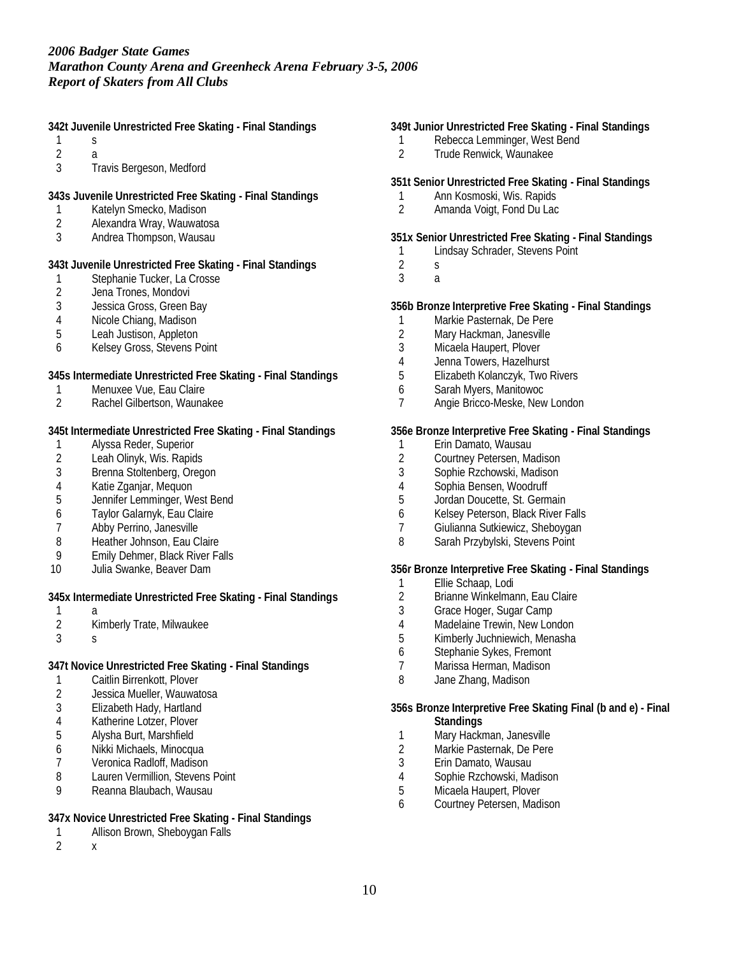**342t Juvenile Unrestricted Free Skating - Final Standings**

- 1 s
- $\begin{array}{ccc} 2 & & a \\ 3 & & \text{Tr} \end{array}$ 3 Travis Bergeson, Medford
- **343s Juvenile Unrestricted Free Skating Final Standings**
- 1 Katelyn Smecko, Madison
- 2 Alexandra Wray, Wauwatosa
- 3 Andrea Thompson, Wausau

# **343t Juvenile Unrestricted Free Skating - Final Standings**

- 1 Stephanie Tucker, La Crosse<br>2 Jena Trones, Mondovi
- 2 Jena Trones, Mondovi<br>3 Jessica Gross, Green B
- Jessica Gross, Green Bay
- 4 Nicole Chiang, Madison<br>5 Leah Justison, Appleton
- Leah Justison, Appleton
- 6 Kelsey Gross, Stevens Point

**345s Intermediate Unrestricted Free Skating - Final Standings**

- 1 Menuxee Vue, Eau Claire
- 2 Rachel Gilbertson, Waunakee

**345t Intermediate Unrestricted Free Skating - Final Standings**

- 1 Alyssa Reder, Superior<br>2 Leah Olinyk, Wis. Rapid
- 2 Leah Olinyk, Wis. Rapids
- 3 Brenna Stoltenberg, Oregon<br>4 Katie Zganiar, Meguon
- 4 Katie Zganjar, Mequon<br>5 Jennifer Lemminger. We
- 5 Jennifer Lemminger, West Bend
- 6 Taylor Galarnyk, Eau Claire<br>7 Abby Perrino, Janesville
- Abby Perrino, Janesville
- 8 Heather Johnson, Eau Claire
- 9 Emily Dehmer, Black River Falls
- 10 Julia Swanke, Beaver Dam

**345x Intermediate Unrestricted Free Skating - Final Standings**

- 
- $\frac{1}{2}$ 2 Kimberly Trate, Milwaukee
- 3 s
- **347t Novice Unrestricted Free Skating Final Standings**
- 1 Caitlin Birrenkott, Plover<br>2 Jessica Mueller. Wauwat
- Jessica Mueller, Wauwatosa
- 3 Elizabeth Hady, Hartland
- 4 Katherine Lotzer, Plover
- 5 Alysha Burt, Marshfield
- 6 Nikki Michaels, Minocqua
- 7 Veronica Radloff, Madison
- 8 Lauren Vermillion, Stevens Point
- 9 Reanna Blaubach, Wausau

## **347x Novice Unrestricted Free Skating - Final Standings**

- 1 Allison Brown, Sheboygan Falls
- 2 x

# **349t Junior Unrestricted Free Skating - Final Standings**

- 1 Rebecca Lemminger, West Bend<br>2 Trude Renwick, Waunakee
- 2 Trude Renwick, Waunakee

## **351t Senior Unrestricted Free Skating - Final Standings**

- 1 Ann Kosmoski, Wis. Rapids<br>2 Amanda Voigt. Fond Du Lac
- 2 Amanda Voigt, Fond Du Lac

# **351x Senior Unrestricted Free Skating - Final Standings**

- 1 Lindsay Schrader, Stevens Point
- 2 s
- 3 a

# **356b Bronze Interpretive Free Skating - Final Standings**

- 1 Markie Pasternak, De Pere<br>2 Mary Hackman, Janesville
- Mary Hackman, Janesville
- 3 Micaela Haupert, Plover
- 4 Jenna Towers, Hazelhurst
- 5 Elizabeth Kolanczyk, Two Rivers
- 6 Sarah Myers, Manitowoc
- 7 Angie Bricco-Meske, New London

# **356e Bronze Interpretive Free Skating - Final Standings**

- 1 Erin Damato, Wausau
- 2 Courtney Petersen, Madison<br>3 Sophie Rzchowski, Madison
- 3 Sophie Rzchowski, Madison
- 4 Sophia Bensen, Woodruff<br>5 Jordan Doucette, St. Germ
- 5 Jordan Doucette, St. Germain
- 6 Kelsey Peterson, Black River Falls
- 7 Giulianna Sutkiewicz, Sheboygan
- 8 Sarah Przybylski, Stevens Point

**356r Bronze Interpretive Free Skating - Final Standings**

- 1 Ellie Schaap, Lodi
- 2 Brianne Winkelmann, Eau Claire<br>3 Grace Hoger, Sugar Camp
- Grace Hoger, Sugar Camp
- 4 Madelaine Trewin, New London
- 5 Kimberly Juchniewich, Menasha
- 6 Stephanie Sykes, Fremont
- 7 Marissa Herman, Madison
- 8 Jane Zhang, Madison

### **356s Bronze Interpretive Free Skating Final (b and e) - Final Standings**

- 1 Mary Hackman, Janesville
- 2 Markie Pasternak, De Pere<br>3 Erin Damato, Wausau
- 3 Erin Damato, Wausau
- 4 Sophie Rzchowski, Madison<br>5 Micaela Haupert, Plover
- Micaela Haupert, Plover
- 6 Courtney Petersen, Madison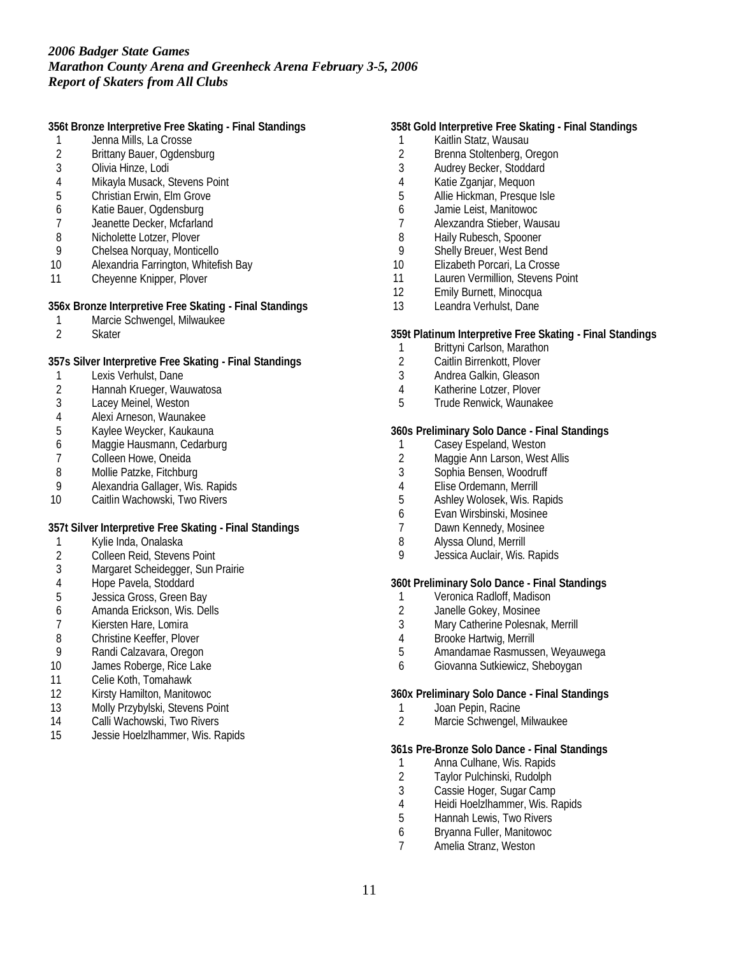**356t Bronze Interpretive Free Skating - Final Standings**

- 1 Jenna Mills, La Crosse<br>2 Brittany Bauer, Ogdens
- 2 Brittany Bauer, Ogdensburg<br>3 Olivia Hinze, Lodi
- 3 Olivia Hinze, Lodi
- 4 Mikayla Musack, Stevens Point<br>5 Christian Erwin, Elm Grove
- 5 Christian Erwin, Elm Grove
- 6 Katie Bauer, Ogdensburg
- 7 Jeanette Decker, Mcfarland
- 8 Nicholette Lotzer, Plover<br>9 Chelsea Norguay, Montic
- Chelsea Norquay, Monticello
- 10 Alexandria Farrington, Whitefish Bay
- 11 Cheyenne Knipper, Plover

**356x Bronze Interpretive Free Skating - Final Standings**

- 1 Marcie Schwengel, Milwaukee<br>2 Skater
- **Skater**

**357s Silver Interpretive Free Skating - Final Standings**

- 1 Lexis Verhulst, Dane<br>2 Hannah Krueger, War
- 2 Hannah Krueger, Wauwatosa
- 3 Lacey Meinel, Weston
- 4 Alexi Arneson, Waunakee<br>5 Kaylee Weycker, Kaukaun
- 5 Kaylee Weycker, Kaukauna
- 6 Maggie Hausmann, Cedarburg
- 7 Colleen Howe, Oneida<br>8 Mollie Patzke, Fitchburg
- 8 Mollie Patzke, Fitchburg<br>9 Alexandria Gallager. Wis
- Alexandria Gallager, Wis. Rapids
- 10 Caitlin Wachowski, Two Rivers

**357t Silver Interpretive Free Skating - Final Standings**

- 1 Kylie Inda, Onalaska
- 2 Colleen Reid, Stevens Point
- 3 Margaret Scheidegger, Sun Prairie
- 4 Hope Pavela, Stoddard
- 5 Jessica Gross, Green Bay
- 6 Amanda Erickson, Wis. Dells<br>7 Kiersten Hare. Lomira
- Kiersten Hare, Lomira
- 
- 8 Christine Keeffer, Plover<br>9 Randi Calzavara, Oregor 9 Randi Calzavara, Oregon
- 10 James Roberge, Rice Lake
- 11 Celie Koth, Tomahawk
- 12 Kirsty Hamilton, Manitowoc
- 13 Molly Przybylski, Stevens Point
- 14 Calli Wachowski, Two Rivers
- 15 Jessie Hoelzlhammer, Wis. Rapids

### **358t Gold Interpretive Free Skating - Final Standings**

- 1 Kaitlin Statz, Wausau<br>2 Brenna Stoltenberg, C
- 2 Brenna Stoltenberg, Oregon<br>3 Audrey Becker, Stoddard
- Audrey Becker, Stoddard
- 4 Katie Zganjar, Mequon<br>5 Allie Hickman, Presque
- 5 Allie Hickman, Presque Isle
- 6 Jamie Leist, Manitowoc
- 7 Alexzandra Stieber, Wausau
- 8 Haily Rubesch, Spooner<br>9 Shelly Breuer, West Bene
- Shelly Breuer, West Bend
- 10 Elizabeth Porcari, La Crosse
- 11 Lauren Vermillion, Stevens Point
- 12 Emily Burnett, Minocqua
- 13 Leandra Verhulst, Dane

#### **359t Platinum Interpretive Free Skating - Final Standings**

- 1 Brittyni Carlson, Marathon<br>2 Caitlin Birrenkott. Plover
- 2 Caitlin Birrenkott, Plover
- 3 Andrea Galkin, Gleason
- 4 Katherine Lotzer, Plover
- 5 Trude Renwick, Waunakee

### **360s Preliminary Solo Dance - Final Standings**

- 1 Casey Espeland, Weston
- 2 Maggie Ann Larson, West Allis<br>3 Sophia Bensen, Woodruff
- 3 Sophia Bensen, Woodruff
- 4 Elise Ordemann, Merrill<br>5 Ashlev Wolosek, Wis. R.
- 5 Ashley Wolosek, Wis. Rapids
- 6 Evan Wirsbinski, Mosinee
- Dawn Kennedy, Mosinee
- 8 Alyssa Olund, Merrill
- 9 Jessica Auclair, Wis. Rapids

**360t Preliminary Solo Dance - Final Standings**

- 1 Veronica Radloff, Madison<br>2 Janelle Gokev, Mosinee
- 2 Janelle Gokey, Mosinee<br>3 Mary Catherine Polesnak
- Mary Catherine Polesnak, Merrill
- 4 Brooke Hartwig, Merrill<br>5 Amandamae Rasmusse
- 5 Amandamae Rasmussen, Weyauwega
- 6 Giovanna Sutkiewicz, Sheboygan

**360x Preliminary Solo Dance - Final Standings**

- 1 Joan Pepin, Racine<br>2 Marcie Schwengel, N
- 2 Marcie Schwengel, Milwaukee

**361s Pre-Bronze Solo Dance - Final Standings**

- 1 Anna Culhane, Wis. Rapids<br>2 Taylor Pulchinski, Rudolph
- 2 Taylor Pulchinski, Rudolph<br>3 Cassie Hoger, Sugar Camp
- Cassie Hoger, Sugar Camp
- 4 Heidi Hoelzlhammer, Wis. Rapids<br>5 Hannah Lewis. Two Rivers
- 5 Hannah Lewis, Two Rivers
- 6 Bryanna Fuller, Manitowoc<br>7 Amelia Stranz, Weston
- Amelia Stranz, Weston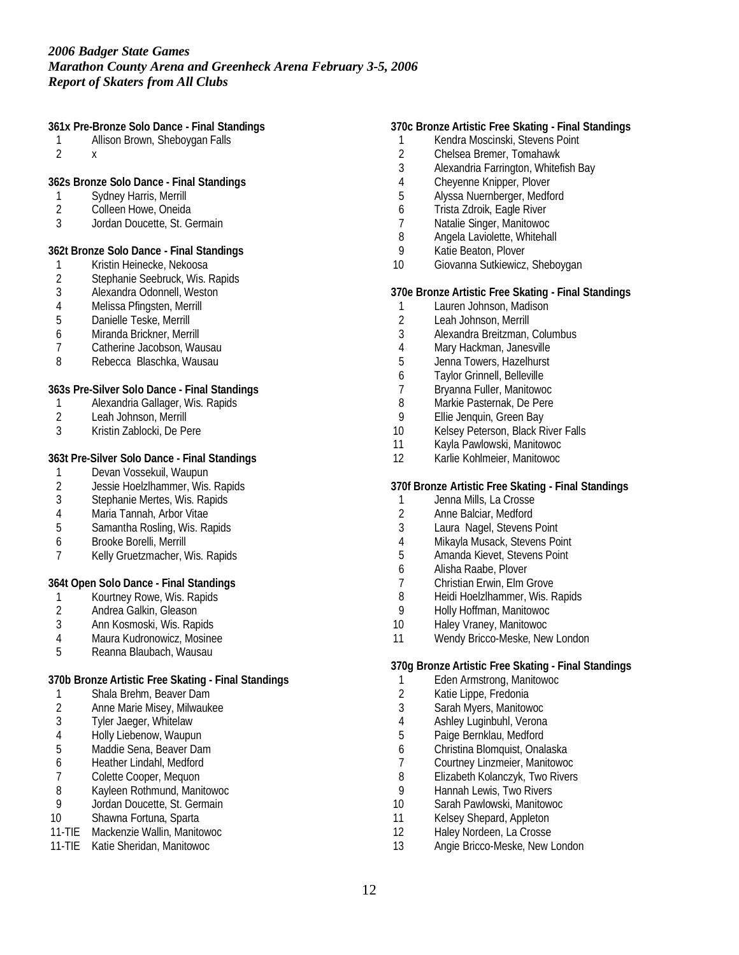**361x Pre-Bronze Solo Dance - Final Standings**

- 1 Allison Brown, Sheboygan Falls
- 2 x

**362s Bronze Solo Dance - Final Standings**

- 1 Sydney Harris, Merrill<br>2 Colleen Howe, Oneida
- Colleen Howe, Oneida
- 3 Jordan Doucette, St. Germain

**362t Bronze Solo Dance - Final Standings**

- 1 Kristin Heinecke, Nekoosa<br>2 Stephanie Seebruck, Wis. I
- 2 Stephanie Seebruck, Wis. Rapids<br>3 Alexandra Odonnell, Weston
- 3 Alexandra Odonnell, Weston
- 4 Melissa Pfingsten, Merrill
- 5 Danielle Teske, Merrill
- 6 Miranda Brickner, Merrill
- 7 Catherine Jacobson, Wausau
- 8 Rebecca Blaschka, Wausau

**363s Pre-Silver Solo Dance - Final Standings**

- 1 Alexandria Gallager, Wis. Rapids<br>2 Leah Johnson. Merrill
- 2 Leah Johnson, Merrill<br>3 Kristin Zablocki, De Pe
- 3 Kristin Zablocki, De Pere

### **363t Pre-Silver Solo Dance - Final Standings**

- 1 Devan Vossekuil, Waupun<br>2 Jessie Hoelzlhammer, Wis.
- 2 Jessie Hoelzlhammer, Wis. Rapids<br>3 Stephanie Mertes. Wis. Rapids
- Stephanie Mertes, Wis. Rapids
- 4 Maria Tannah, Arbor Vitae<br>5 Samantha Rosling, Wis. Ra
- 5 Samantha Rosling, Wis. Rapids
- 6 Brooke Borelli, Merrill
- 7 Kelly Gruetzmacher, Wis. Rapids

**364t Open Solo Dance - Final Standings**

- 1 Kourtney Rowe, Wis. Rapids<br>2 Andrea Galkin, Gleason
- 2 Andrea Galkin, Gleason<br>3 Ann Kosmoski. Wis. Rapi
- 3 Ann Kosmoski, Wis. Rapids
- 4 Maura Kudronowicz, Mosinee<br>5 Reanna Blaubach, Wausau
- 5 Reanna Blaubach, Wausau

## **370b Bronze Artistic Free Skating - Final Standings**

- 1 Shala Brehm, Beaver Dam<br>2 Anne Marie Misev. Milwauk
- 2 Anne Marie Misey, Milwaukee<br>3 Tyler Jaeger, Whitelaw
- Tyler Jaeger, Whitelaw
- 4 Holly Liebenow, Waupun<br>5 Maddie Sena, Beaver Dar
- 5 Maddie Sena, Beaver Dam<br>6 Heather Lindahl, Medford
- 6 Heather Lindahl, Medford
- 
- 7 Colette Cooper, Mequon<br>8 Kayleen Rothmund, Mani
- 8 Kayleen Rothmund, Manitowoc<br>9 Jordan Doucette, St. Germain Jordan Doucette, St. Germain
- 10 Shawna Fortuna, Sparta
- 11-TIE Mackenzie Wallin, Manitowoc
- 11-TIE Katie Sheridan, Manitowoc

### **370c Bronze Artistic Free Skating - Final Standings**

- 1 Kendra Moscinski, Stevens Point<br>2 Chelsea Bremer, Tomahawk
- 2 Chelsea Bremer, Tomahawk<br>3 Alexandria Farrington. Whitef
- 3 Alexandria Farrington, Whitefish Bay
- 4 Cheyenne Knipper, Plover<br>5 Alvssa Nuernberger, Medfo
- 5 Alyssa Nuernberger, Medford
- 6 Trista Zdroik, Eagle River<br>7 Natalie Singer Manitowoc
- 7 Natalie Singer, Manitowoc
- 8 Angela Laviolette, Whitehall<br>9 Katie Beaton, Plover
- Katie Beaton, Plover
- 10 Giovanna Sutkiewicz, Sheboygan

**370e Bronze Artistic Free Skating - Final Standings**

- 1 Lauren Johnson, Madison
- 2 Leah Johnson, Merrill<br>3 Alexandra Breitzman.
- 3 Alexandra Breitzman, Columbus
- 4 Mary Hackman, Janesville<br>5 Jenna Towers. Hazelhurst
- 5 Jenna Towers, Hazelhurst
- 6 Taylor Grinnell, Belleville
- 7 Bryanna Fuller, Manitowoc
- 8 Markie Pasternak, De Pere
- 9 Ellie Jenquin, Green Bay<br>10 Kelsev Peterson, Black R
- Kelsey Peterson, Black River Falls
- 11 Kayla Pawlowski, Manitowoc
- 12 Karlie Kohlmeier, Manitowoc

## **370f Bronze Artistic Free Skating - Final Standings**

- 1 Jenna Mills, La Crosse
- 2 Anne Balciar, Medford<br>3 Laura Nagel. Stevens
- Laura Nagel, Stevens Point
- 4 Mikayla Musack, Stevens Point
- 5 Amanda Kievet, Stevens Point
- 6 Alisha Raabe, Plover
- 7 Christian Erwin, Elm Grove
- 8 Heidi Hoelzlhammer, Wis. Rapids<br>9 Holly Hoffman, Manitowoc
- 9 Holly Hoffman, Manitowoc
- 10 Haley Vraney, Manitowoc
- 11 Wendy Bricco-Meske, New London

**370g Bronze Artistic Free Skating - Final Standings**

- 1 Eden Armstrong, Manitowoc
- 2 Katie Lippe, Fredonia
- 3 Sarah Myers, Manitowoc
- 4 Ashley Luginbuhl, Verona<br>5 Paige Bernklau, Medford
- 5 Paige Bernklau, Medford
- 6 Christina Blomquist, Onalaska
- 7 Courtney Linzmeier, Manitowoc<br>8 Elizabeth Kolanczyk, Two Rivers
- 8 Elizabeth Kolanczyk, Two Rivers<br>9 Hannah Lewis. Two Rivers
- 9 Hannah Lewis, Two Rivers<br>10 Sarah Pawlowski, Manitowo
- Sarah Pawlowski, Manitowoc
- 11 Kelsey Shepard, Appleton
- 12 Haley Nordeen, La Crosse
- 13 Angie Bricco-Meske, New London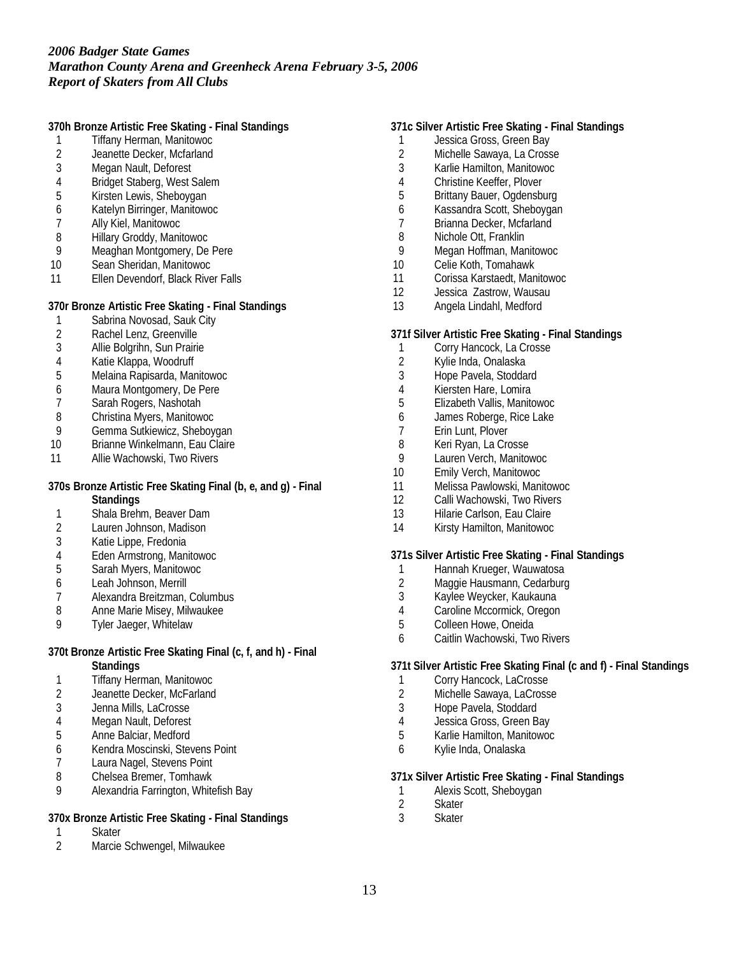**370h Bronze Artistic Free Skating - Final Standings**

- 1 Tiffany Herman, Manitowoc<br>2 Jeanette Decker, Mcfarland
- 2 Jeanette Decker, Mcfarland<br>3 Megan Nault. Deforest
- Megan Nault, Deforest
- 4 Bridget Staberg, West Salem<br>5 Kirsten Lewis, Sheboygan
- 5 Kirsten Lewis, Sheboygan
- 6 Katelyn Birringer, Manitowoc
- 7 Ally Kiel, Manitowoc
- 8 Hillary Groddy, Manitowoc<br>9 Meaghan Montgomery, De
- Meaghan Montgomery, De Pere
- 10 Sean Sheridan, Manitowoc
- 11 Ellen Devendorf, Black River Falls

**370r Bronze Artistic Free Skating - Final Standings**

- 1 Sabrina Novosad, Sauk City<br>2 Rachel Lenz, Greenville
- 
- 2 Rachel Lenz, Greenville<br>3 Allie Bolgrihn, Sun Prairie Allie Bolgrihn, Sun Prairie
- 
- 4 Katie Klappa, Woodruff<br>5 Melaina Rapisarda, Mar 5 Melaina Rapisarda, Manitowoc
- 6 Maura Montgomery, De Pere
- 
- 7 Sarah Rogers, Nashotah
- 8 Christina Myers, Manitowoc<br>9 Gemma Sutkiewicz, Shebov
- 9 Gemma Sutkiewicz, Sheboygan<br>10 Brianne Winkelmann. Eau Claire Brianne Winkelmann, Eau Claire
- 11 Allie Wachowski, Two Rivers

#### **370s Bronze Artistic Free Skating Final (b, e, and g) - Final Standings**

- 1 Shala Brehm, Beaver Dam<br>2 Lauren Johnson, Madison
- 2 Lauren Johnson, Madison<br>3 Katie Lippe, Fredonia
- Katie Lippe, Fredonia
- 4 Eden Armstrong, Manitowoc<br>5 Sarah Myers, Manitowoc
- 5 Sarah Myers, Manitowoc
- 6 Leah Johnson, Merrill
- 7 Alexandra Breitzman, Columbus<br>8 Anne Marie Misev. Milwaukee
- 8 Anne Marie Misey, Milwaukee
- 9 Tyler Jaeger, Whitelaw

#### **370t Bronze Artistic Free Skating Final (c, f, and h) - Final Standings**

- 
- 1 Tiffany Herman, Manitowoc<br>2 Jeanette Decker, McFarland Jeanette Decker, McFarland
- 3 Jenna Mills, LaCrosse
- 4 Megan Nault, Deforest
- 5 Anne Balciar, Medford
- 6 Kendra Moscinski, Stevens Point
- Laura Nagel, Stevens Point
- 8 Chelsea Bremer, Tomhawk
- 9 Alexandria Farrington, Whitefish Bay

### **370x Bronze Artistic Free Skating - Final Standings**

- 1 Skater<br>2 Marcie
- 2 Marcie Schwengel, Milwaukee

### **371c Silver Artistic Free Skating - Final Standings**

- 1 Jessica Gross, Green Bay<br>2 Michelle Sawava, La Cross
- 2 Michelle Sawaya, La Crosse<br>3 Karlie Hamilton, Manitowoc
- 3 Karlie Hamilton, Manitowoc
- 4 Christine Keeffer, Plover<br>5 Brittany Bauer, Ogdensbi
- 5 Brittany Bauer, Ogdensburg
- 6 Kassandra Scott, Sheboygan<br>7 Rrianna Decker Mcfarland
- Brianna Decker, Mcfarland
- 8 Nichole Ott, Franklin<br>9 Megan Hoffman, Mar
- 9 Megan Hoffman, Manitowoc
- 10 Celie Koth, Tomahawk
- 11 Corissa Karstaedt, Manitowoc
- 12 Jessica Zastrow, Wausau
- 13 Angela Lindahl, Medford

#### **371f Silver Artistic Free Skating - Final Standings**

- 1 Corry Hancock, La Crosse<br>2 Kylie Inda Onalaska
- Kylie Inda, Onalaska
- 3 Hope Pavela, Stoddard
- 4 Kiersten Hare, Lomira
- 5 Elizabeth Vallis, Manitowoc
- 6 James Roberge, Rice Lake
- 7 Erin Lunt, Plover<br>8 Keri Ryan, La Cro
- Keri Ryan, La Crosse
- 9 Lauren Verch, Manitowoc
- 10 Emily Verch, Manitowoc
- 11 Melissa Pawlowski, Manitowoc
- 12 Calli Wachowski, Two Rivers
- 13 Hilarie Carlson, Eau Claire
- 14 Kirsty Hamilton, Manitowoc

#### **371s Silver Artistic Free Skating - Final Standings**

- 1 Hannah Krueger, Wauwatosa
- 2 Maggie Hausmann, Cedarburg
- 3 Kaylee Weycker, Kaukauna
- 4 Caroline Mccormick, Oregon
- 5 Colleen Howe, Oneida
- 6 Caitlin Wachowski, Two Rivers

**371t Silver Artistic Free Skating Final (c and f) - Final Standings**

- 1 Corry Hancock, LaCrosse<br>2 Michelle Sawaya, LaCross
- Michelle Sawaya, LaCrosse
- 3 Hope Pavela, Stoddard
- 4 Jessica Gross, Green Bay
- 5 Karlie Hamilton, Manitowoc
- 6 Kylie Inda, Onalaska

#### **371x Silver Artistic Free Skating - Final Standings**

- 1 Alexis Scott, Sheboygan<br>2 Skater
- 2 Skater<br>3 Skater
- **Skater**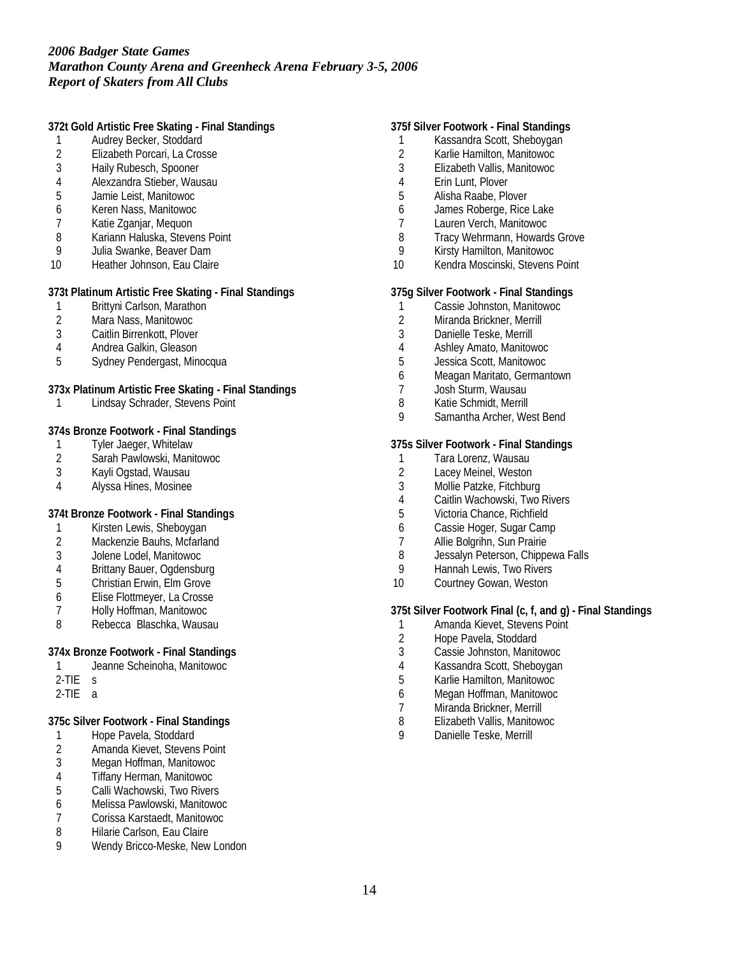**372t Gold Artistic Free Skating - Final Standings**

- 1 Audrey Becker, Stoddard<br>2 Elizabeth Porcari, La Cros
- 2 Elizabeth Porcari, La Crosse<br>3 Haily Rubesch, Spooner
- Haily Rubesch, Spooner
- 4 Alexzandra Stieber, Wausau<br>5 Jamie Leist, Manitowoc
- 5 Jamie Leist, Manitowoc
- 6 Keren Nass, Manitowoc
- 7 Katie Zganjar, Mequon
- 8 Kariann Haluska, Stevens Point<br>9 Julia Swanke, Beaver Dam
- 9 Julia Swanke, Beaver Dam
- 10 Heather Johnson, Eau Claire

**373t Platinum Artistic Free Skating - Final Standings**

- 1 Brittyni Carlson, Marathon
- 2 Mara Nass, Manitowoc
- Caitlin Birrenkott, Plover
- 4 Andrea Galkin, Gleason<br>5 Sydney Pendergast Min
- 5 Sydney Pendergast, Minocqua

**373x Platinum Artistic Free Skating - Final Standings**

1 Lindsay Schrader, Stevens Point

**374s Bronze Footwork - Final Standings**

- 1 Tyler Jaeger, Whitelaw<br>2 Sarah Pawlowski, Manii
- 2 Sarah Pawlowski, Manitowoc<br>3 Kavli Ogstad, Wausau
- 3 Kayli Ogstad, Wausau
- 4 Alyssa Hines, Mosinee

**374t Bronze Footwork - Final Standings**

- 1 Kirsten Lewis, Sheboygan<br>2 Mackenzie Bauhs, Mcfarlar
- Mackenzie Bauhs, Mcfarland
- 3 Jolene Lodel, Manitowoc
- 4 Brittany Bauer, Ogdensburg<br>5 Christian Erwin, Elm Grove
- 5 Christian Erwin, Elm Grove
- 6 Elise Flottmeyer, La Crosse
- 7 Holly Hoffman, Manitowoc
- 8 Rebecca Blaschka, Wausau

**374x Bronze Footwork - Final Standings**

- 1 Jeanne Scheinoha, Manitowoc
- 2-TIE s
- 2-TIE a

**375c Silver Footwork - Final Standings**

- 1 Hope Pavela, Stoddard<br>2 Amanda Kievet, Stevens
- 2 Amanda Kievet, Stevens Point<br>3 Megan Hoffman, Manitowoc
- 3 Megan Hoffman, Manitowoc
- 4 Tiffany Herman, Manitowoc<br>5 Calli Wachowski, Two Rivers
- 5 Calli Wachowski, Two Rivers
- 6 Melissa Pawlowski, Manitowoc
- 7 Corissa Karstaedt, Manitowoc
- 8 Hilarie Carlson, Eau Claire<br>9 Mendy Bricco-Meske, New
- Wendy Bricco-Meske, New London

### **375f Silver Footwork - Final Standings**

- 1 Kassandra Scott, Sheboygan<br>2 Karlie Hamilton, Manitowoc
- 2 Karlie Hamilton, Manitowoc<br>3 Elizabeth Vallis, Manitowoc
- 3 Elizabeth Vallis, Manitowoc
- 4 Erin Lunt, Plover<br>5 Alisha Raabe, Plo
- 5 Alisha Raabe, Plover
- 6 James Roberge, Rice Lake<br>7 Lauren Verch Manitowoc
- Lauren Verch, Manitowoc
- 8 Tracy Wehrmann, Howards Grove<br>9 Kirsty Hamilton, Manitowoc
- 9 Kirsty Hamilton, Manitowoc
- 10 Kendra Moscinski, Stevens Point

**375g Silver Footwork - Final Standings**

- 1 Cassie Johnston, Manitowoc
- 2 Miranda Brickner, Merrill
- 3 Danielle Teske, Merrill
- 4 Ashley Amato, Manitowoc
- 5 Jessica Scott, Manitowoc
- 6 Meagan Maritato, Germantown
- 7 Josh Sturm, Wausau
- 8 Katie Schmidt, Merrill
- 9 Samantha Archer, West Bend

**375s Silver Footwork - Final Standings**

- 1 Tara Lorenz, Wausau<br>2 Lacev Meinel, Weston
- 2 Lacey Meinel, Weston<br>3 Mollie Patzke. Fitchbur
- Mollie Patzke, Fitchburg
- 4 Caitlin Wachowski, Two Rivers
- 5 Victoria Chance, Richfield
- 6 Cassie Hoger, Sugar Camp<br>7 Allie Bolgrihn Sun Prairie
- Allie Bolgrihn, Sun Prairie
- 8 Jessalyn Peterson, Chippewa Falls
- 9 Hannah Lewis, Two Rivers
- 10 Courtney Gowan, Weston

**375t Silver Footwork Final (c, f, and g) - Final Standings**

- 1 Amanda Kievet, Stevens Point
- 2 Hope Pavela, Stoddard<br>3 Cassie Johnston, Manite
- 3 Cassie Johnston, Manitowoc
- 4 Kassandra Scott, Sheboygan<br>5 Karlie Hamilton, Manitowoc
- 5 Karlie Hamilton, Manitowoc
- 6 Megan Hoffman, Manitowoc
- 7 Miranda Brickner, Merrill
- 8 Elizabeth Vallis, Manitowoc<br>9 Danielle Teske Merrill
- Danielle Teske, Merrill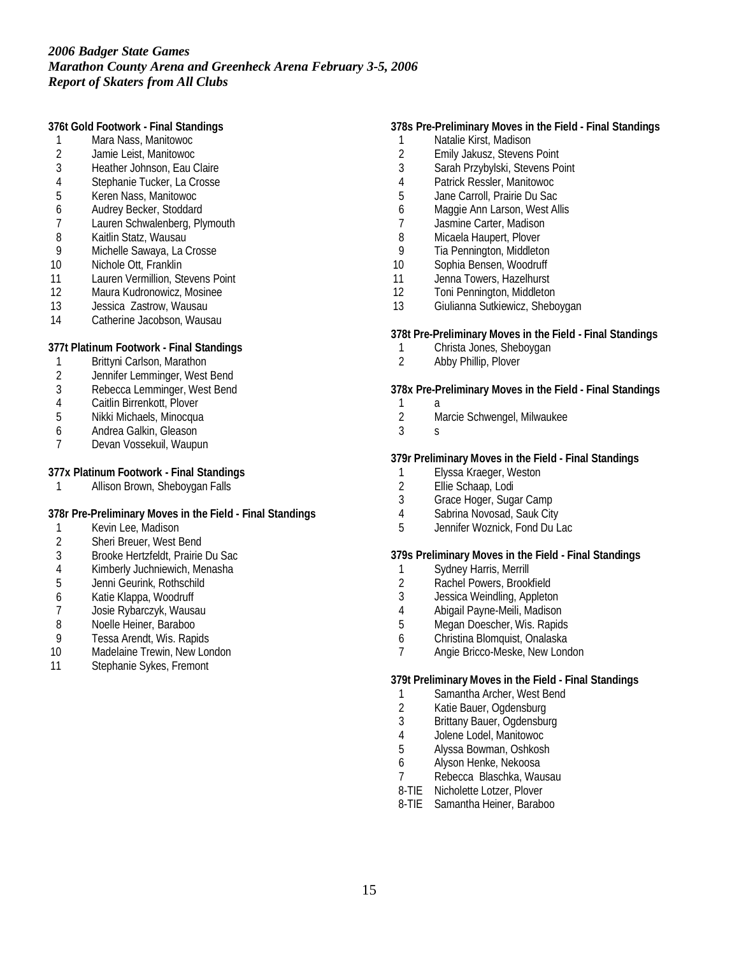**376t Gold Footwork - Final Standings**

- 1 Mara Nass, Manitowoc
- 2 Jamie Leist, Manitowoc<br>3 Heather Johnson. Eau C
- 3 Heather Johnson, Eau Claire
- 4 Stephanie Tucker, La Crosse<br>5 Keren Nass, Manitowoc
- 5 Keren Nass, Manitowoc
- 6 Audrey Becker, Stoddard
- 7 Lauren Schwalenberg, Plymouth
- 8 Kaitlin Statz, Wausau<br>9 Michelle Sawaya, La C
- Michelle Sawaya, La Crosse
- 10 Nichole Ott, Franklin
- 11 Lauren Vermillion, Stevens Point<br>12 Maura Kudronowicz, Mosinee
- Maura Kudronowicz, Mosinee
- 13 Jessica Zastrow, Wausau
- 14 Catherine Jacobson, Wausau

**377t Platinum Footwork - Final Standings**

- 1 Brittyni Carlson, Marathon<br>2 Jennifer Lemminger, West
- 2 Jennifer Lemminger, West Bend
- 3 Rebecca Lemminger, West Bend
- 
- 4 Caitlin Birrenkott, Plover<br>5 Nikki Michaels, Minocqua 5 Nikki Michaels, Minocqua
- 
- 6 Andrea Galkin, Gleason Devan Vossekuil, Waupun

**377x Platinum Footwork - Final Standings**

1 Allison Brown, Sheboygan Falls

**378r Pre-Preliminary Moves in the Field - Final Standings**

- 1 Kevin Lee, Madison<br>2 Sheri Breuer. West E
- 2 Sheri Breuer, West Bend
- 3 Brooke Hertzfeldt, Prairie Du Sac
- 4 Kimberly Juchniewich, Menasha
- 5 Jenni Geurink, Rothschild
- 6 Katie Klappa, Woodruff
- 7 Josie Rybarczyk, Wausau<br>8 Noelle Heiner, Baraboo
- Noelle Heiner, Baraboo
- 9 Tessa Arendt, Wis. Rapids
- 10 Madelaine Trewin, New London
- 11 Stephanie Sykes, Fremont

### **378s Pre-Preliminary Moves in the Field - Final Standings**

- 1 Natalie Kirst, Madison
- 2 Emily Jakusz, Stevens Point<br>3 Sarah Przybylski, Stevens Po
- Sarah Przybylski, Stevens Point
- 4 Patrick Ressler, Manitowoc
- 5 Jane Carroll, Prairie Du Sac
- 6 Maggie Ann Larson, West Allis<br>7 Iasmine Carter Madison
- Jasmine Carter, Madison
- 8 Micaela Haupert, Plover<br>9 Tia Pennington, Middleto
- Tia Pennington, Middleton
- 10 Sophia Bensen, Woodruff
- 11 Jenna Towers, Hazelhurst
- 12 Toni Pennington, Middleton
- 13 Giulianna Sutkiewicz, Sheboygan

#### **378t Pre-Preliminary Moves in the Field - Final Standings**

- 1 Christa Jones, Sheboygan<br>2 Abby Phillin Plover
- Abby Phillip, Plover

**378x Pre-Preliminary Moves in the Field - Final Standings**

- $\mathbf{1}$
- 2 Marcie Schwengel, Milwaukee
- 3 s

#### **379r Preliminary Moves in the Field - Final Standings**

- 1 Elyssa Kraeger, Weston<br>2 Ellie Schaap, Lodi
- 2 Ellie Schaap, Lodi<br>3 Grace Hoger, Suga
- Grace Hoger, Sugar Camp
- 4 Sabrina Novosad, Sauk City<br>5 Jennifer Woznick, Fond Du L
- Jennifer Woznick, Fond Du Lac

**379s Preliminary Moves in the Field - Final Standings**

- 1 Sydney Harris, Merrill
- 2 Rachel Powers, Brookfield
- 3 Jessica Weindling, Appleton
- 4 Abigail Payne-Meili, Madison<br>5 Megan Doescher, Wis, Rapids
- Megan Doescher, Wis. Rapids
- 6 Christina Blomquist, Onalaska
- 7 Angie Bricco-Meske, New London

**379t Preliminary Moves in the Field - Final Standings**

- 1 Samantha Archer, West Bend
- 2 Katie Bauer, Ogdensburg
- 3 Brittany Bauer, Ogdensburg
- 4 Jolene Lodel, Manitowoc
- 5 Alyssa Bowman, Oshkosh
- 6 Alyson Henke, Nekoosa
- 7 Rebecca Blaschka, Wausau
- 8-TIE Nicholette Lotzer, Plover
- 8-TIE Samantha Heiner, Baraboo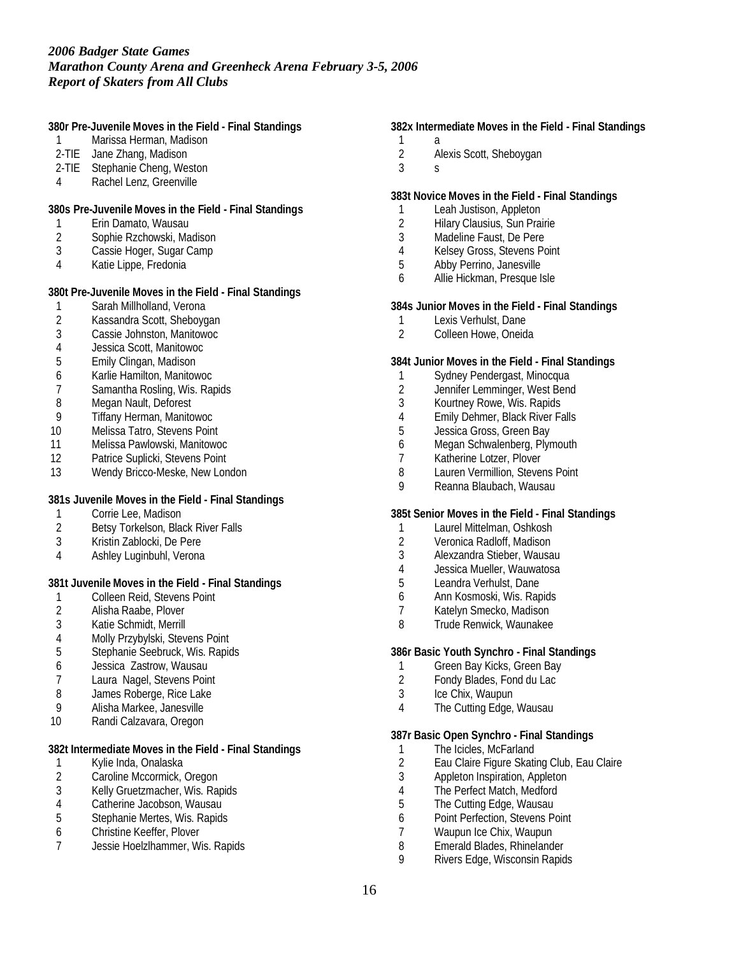**380r Pre-Juvenile Moves in the Field - Final Standings**

- 1 Marissa Herman, Madison
- 2-TIE Jane Zhang, Madison
- 2-TIE Stephanie Cheng, Weston
- 4 Rachel Lenz, Greenville

**380s Pre-Juvenile Moves in the Field - Final Standings**

- 1 Erin Damato, Wausau
- 2 Sophie Rzchowski, Madison
- 3 Cassie Hoger, Sugar Camp
- 4 Katie Lippe, Fredonia

**380t Pre-Juvenile Moves in the Field - Final Standings**

- 1 Sarah Millholland, Verona
- 2 Kassandra Scott, Sheboygan
- Cassie Johnston, Manitowoc
- 4 Jessica Scott, Manitowoc
- 5 Emily Clingan, Madison
- 6 Karlie Hamilton, Manitowoc
- 7 Samantha Rosling, Wis. Rapids
- 
- 8 Megan Nault, Deforest<br>9 Tiffany Herman, Manito
- 9 Tiffany Herman, Manitowoc<br>10 Melissa Tatro, Stevens Point Melissa Tatro, Stevens Point
- 11 Melissa Pawlowski, Manitowoc
- 12 Patrice Suplicki, Stevens Point
- 13 Wendy Bricco-Meske, New London

**381s Juvenile Moves in the Field - Final Standings**

- 1 Corrie Lee, Madison<br>2 Betsy Torkelson, Blac
- 2 Betsy Torkelson, Black River Falls<br>3 Kristin Zablocki. De Pere
- 3 Kristin Zablocki, De Pere
- 4 Ashley Luginbuhl, Verona

**381t Juvenile Moves in the Field - Final Standings**

- 1 Colleen Reid, Stevens Point<br>2 Alisha Raabe, Plover
- 2 Alisha Raabe, Plover<br>3 Katie Schmidt. Merrill
- Katie Schmidt, Merrill
- 4 Molly Przybylski, Stevens Point<br>5 Stephanie Seebruck, Wis. Rapic
- 5 Stephanie Seebruck, Wis. Rapids
- 
- 6 Jessica Zastrow, Wausau Laura Nagel, Stevens Point
- 8 James Roberge, Rice Lake
- 9 Alisha Markee, Janesville
- 10 Randi Calzavara, Oregon

**382t Intermediate Moves in the Field - Final Standings**

- 1 Kylie Inda, Onalaska<br>2 Caroline Mccormick, 0
- 2 Caroline Mccormick, Oregon<br>3 Kelly Gruetzmacher, Wis. Raj
- 3 Kelly Gruetzmacher, Wis. Rapids<br>4 Catherine Jacobson, Wausau
- 4 Catherine Jacobson, Wausau<br>5 Stephanie Mertes, Wis. Rapids
- 5 Stephanie Mertes, Wis. Rapids
- 6 Christine Keeffer, Plover
- 7 Jessie Hoelzlhammer, Wis. Rapids

**382x Intermediate Moves in the Field - Final Standings**

- $\begin{array}{ccc} 1 & a \\ 2 & A \end{array}$ 2 Alexis Scott, Sheboygan
- 3 s
- 

### **383t Novice Moves in the Field - Final Standings**

- 1 Leah Justison, Appleton<br>2 Hilary Clausius, Sun Prai
- **Hilary Clausius, Sun Prairie**
- 3 Madeline Faust, De Pere
- 4 Kelsey Gross, Stevens Point
- 5 Abby Perrino, Janesville
- 6 Allie Hickman, Presque Isle

**384s Junior Moves in the Field - Final Standings**

- 1 Lexis Verhulst, Dane<br>2 Colleen Howe, Oneida
- 2 Colleen Howe, Oneida

#### **384t Junior Moves in the Field - Final Standings**

- 1 Sydney Pendergast, Minocqua
- 2 Jennifer Lemminger, West Bend
- 3 Kourtney Rowe, Wis. Rapids
- 4 Emily Dehmer, Black River Falls<br>5 Lessica Gross, Green Bay
- 5 Jessica Gross, Green Bay<br>6 Megan Schwalenberg, Plyr
- Megan Schwalenberg, Plymouth
- 7 Katherine Lotzer, Plover<br>8 Lauren Vermillion, Stever
- 8 Lauren Vermillion, Stevens Point<br>9 Reanna Blaubach Wausau
- 9 Reanna Blaubach, Wausau

#### **385t Senior Moves in the Field - Final Standings**

- 1 Laurel Mittelman, Oshkosh<br>2 Veronica Radloff, Madison
- 2 Veronica Radloff, Madison
- 3 Alexzandra Stieber, Wausau
- 4 Jessica Mueller, Wauwatosa
- 5 Leandra Verhulst, Dane
- 6 Ann Kosmoski, Wis. Rapids
- 7 Katelyn Smecko, Madison
- 8 Trude Renwick, Waunakee

### **386r Basic Youth Synchro - Final Standings**

- 1 Green Bay Kicks, Green Bay<br>2 Fondy Blades Fond du Lac
- Fondy Blades, Fond du Lac
- 3 Ice Chix, Waupun
- 4 The Cutting Edge, Wausau

#### **387r Basic Open Synchro - Final Standings**

- 1 The Icicles, McFarland<br>2 Eau Claire Figure Skati
- 2 Eau Claire Figure Skating Club, Eau Claire<br>3 Appleton Inspiration, Appleton
- 3 Appleton Inspiration, Appleton<br>4 The Perfect Match, Medford
- 4 The Perfect Match, Medford<br>5 The Cutting Edge, Wausau
- The Cutting Edge, Wausau
- 6 Point Perfection, Stevens Point
- 7 Waupun Ice Chix, Waupun<br>8 Emerald Blades, Rhineland
- 8 Emerald Blades, Rhinelander<br>9 Rivers Edge, Wisconsin Rapic
- 9 Rivers Edge, Wisconsin Rapids